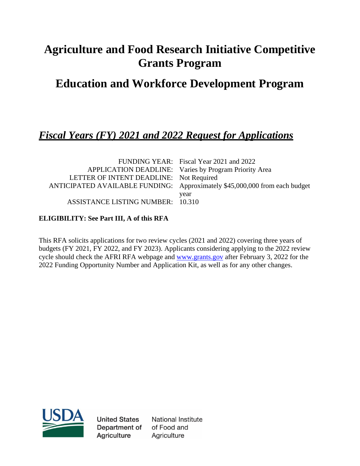# **Agriculture and Food Research Initiative Competitive Grants Program**

## **Education and Workforce Development Program**

## *Fiscal Years (FY) 2021 and 2022 Request for Applications*

|                                         | FUNDING YEAR: Fiscal Year 2021 and 2022                                    |
|-----------------------------------------|----------------------------------------------------------------------------|
|                                         | APPLICATION DEADLINE: Varies by Program Priority Area                      |
| LETTER OF INTENT DEADLINE: Not Required |                                                                            |
|                                         | ANTICIPATED AVAILABLE FUNDING: Approximately \$45,000,000 from each budget |
|                                         | year                                                                       |
| ASSISTANCE LISTING NUMBER: 10.310       |                                                                            |

## **ELIGIBILITY: See Part III, A of this RFA**

This RFA solicits applications for two review cycles (2021 and 2022) covering three years of budgets (FY 2021, FY 2022, and FY 2023). Applicants considering applying to the 2022 review cycle should check the AFRI RFA webpage and [www.grants.gov](http://www.grants.gov/) after February 3, 2022 for the 2022 Funding Opportunity Number and Application Kit, as well as for any other changes.



**United States** Department of **Agriculture** 

National Institute of Food and Agriculture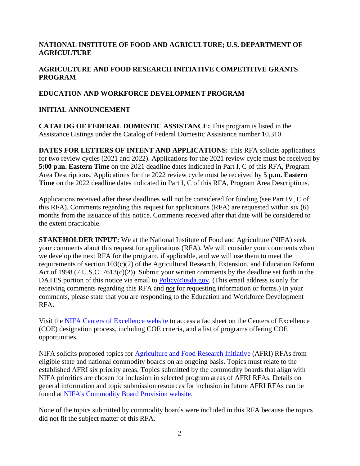## **NATIONAL INSTITUTE OF FOOD AND AGRICULTURE; U.S. DEPARTMENT OF AGRICULTURE**

## **AGRICULTURE AND FOOD RESEARCH INITIATIVE COMPETITIVE GRANTS PROGRAM**

#### **EDUCATION AND WORKFORCE DEVELOPMENT PROGRAM**

#### **INITIAL ANNOUNCEMENT**

**CATALOG OF FEDERAL DOMESTIC ASSISTANCE:** This program is listed in the Assistance Listings under the Catalog of Federal Domestic Assistance number 10.310.

**DATES FOR LETTERS OF INTENT AND APPLICATIONS:** This RFA solicits applications for two review cycles (2021 and 2022). Applications for the 2021 review cycle must be received by **5:00 p.m. Eastern Time** on the 2021 deadline dates indicated in Part I, C of this RFA, Program Area Descriptions. Applications for the 2022 review cycle must be received by **5 p.m. Eastern Time** on the 2022 deadline dates indicated in Part I, C of this RFA, Program Area Descriptions.

Applications received after these deadlines will not be considered for funding (see Part IV, C of this RFA). Comments regarding this request for applications (RFA) are requested within six (6) months from the issuance of this notice. Comments received after that date will be considered to the extent practicable.

**STAKEHOLDER INPUT:** We at the National Institute of Food and Agriculture (NIFA) seek your comments about this request for applications (RFA). We will consider your comments when we develop the next RFA for the program, if applicable, and we will use them to meet the requirements of section 103(c)(2) of the Agricultural Research, Extension, and Education Reform Act of 1998 (7 U.S.C. 7613(c)(2)). Submit your written comments by the deadline set forth in the DATES portion of this notice via email to [Policy@usda.gov.](mailto:Policy@usda.gov.) (This email address is only for receiving comments regarding this RFA and *not* for requesting information or forms.) In your comments, please state that you are responding to the Education and Workforce Development RFA.

Visit the [NIFA Centers of Excellence website](https://nifa.usda.gov/centers-excellence) to access a factsheet on the Centers of Excellence (COE) designation process, including COE criteria, and a list of programs offering COE opportunities.

NIFA solicits proposed topics for [Agriculture and Food Research Initiative](https://nifa.usda.gov/program/agriculture-and-food-research-initiative-afri) (AFRI) RFAs from eligible state and national commodity boards on an ongoing basis. Topics must relate to the established AFRI six priority areas. Topics submitted by the commodity boards that align with NIFA priorities are chosen for inclusion in selected program areas of AFRI RFAs. Details on general information and topic submission resources for inclusion in future AFRI RFAs can be found at [NIFA's Commodity Board Provision website.](https://nifa.usda.gov/commodity-boards)

None of the topics submitted by commodity boards were included in this RFA because the topics did not fit the subject matter of this RFA.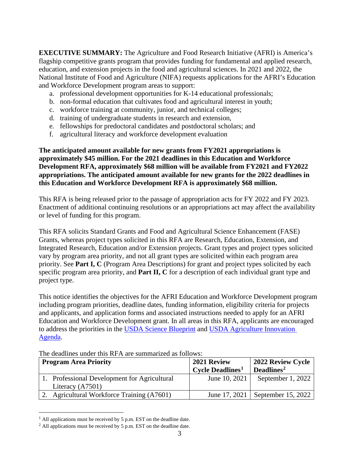**EXECUTIVE SUMMARY:** The Agriculture and Food Research Initiative (AFRI) is America's flagship competitive grants program that provides funding for fundamental and applied research, education, and extension projects in the food and agricultural sciences. In 2021 and 2022, the National Institute of Food and Agriculture (NIFA) requests applications for the AFRI's Education and Workforce Development program areas to support:

- a. professional development opportunities for K-14 educational professionals;
- b. non-formal education that cultivates food and agricultural interest in youth;
- c. workforce training at community, junior, and technical colleges;
- d. training of undergraduate students in research and extension,
- e. fellowships for predoctoral candidates and postdoctoral scholars; and
- f. agricultural literacy and workforce development evaluation

**The anticipated amount available for new grants from FY2021 appropriations is approximately \$45 million. For the 2021 deadlines in this Education and Workforce Development RFA, approximately \$68 million will be available from FY2021 and FY2022 appropriations. The anticipated amount available for new grants for the 2022 deadlines in this Education and Workforce Development RFA is approximately \$68 million.**

This RFA is being released prior to the passage of appropriation acts for FY 2022 and FY 2023. Enactment of additional continuing resolutions or an appropriations act may affect the availability or level of funding for this program.

This RFA solicits Standard Grants and Food and Agricultural Science Enhancement (FASE) Grants, whereas project types solicited in this RFA are Research, Education, Extension, and Integrated Research, Education and/or Extension projects. Grant types and project types solicited vary by program area priority, and not all grant types are solicited within each program area priority. See **Part I, C** (Program Area Descriptions) for grant and project types solicited by each specific program area priority, and **Part II, C** for a description of each individual grant type and project type.

This notice identifies the objectives for the AFRI Education and Workforce Development program including program priorities, deadline dates, funding information, eligibility criteria for projects and applicants, and application forms and associated instructions needed to apply for an AFRI Education and Workforce Development grant. In all areas in this RFA, applicants are encouraged to address the priorities in the [USDA Science Blueprint](https://www.usda.gov/sites/default/files/documents/usda-science-blueprint.pdf) and [USDA Agriculture Innovation](https://www.usda.gov/sites/default/files/documents/agriculture-innovation-agenda-vision-statement.pdf)  [Agenda.](https://www.usda.gov/sites/default/files/documents/agriculture-innovation-agenda-vision-statement.pdf)

| <b>Program Area Priority</b>                 | 2021 Review<br>$Cycle$ Deadlines <sup>1</sup> | 2022 Review Cycle<br>Deadlines <sup>2</sup> |
|----------------------------------------------|-----------------------------------------------|---------------------------------------------|
| 1. Professional Development for Agricultural | June 10, 2021                                 | September 1, 2022                           |
| Literacy $(A7501)$                           |                                               |                                             |
| 2. Agricultural Workforce Training (A7601)   | June 17, 2021                                 | September 15, 2022                          |

The deadlines under this RFA are summarized as follows:

<span id="page-2-0"></span> $1$  All applications must be received by 5 p.m. EST on the deadline date.

<span id="page-2-1"></span> $2$  All applications must be received by 5 p.m. EST on the deadline date.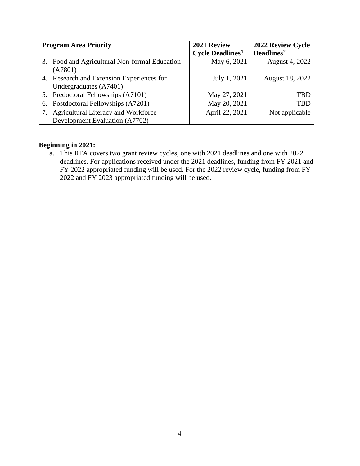| <b>Program Area Priority</b> |                                               | 2021 Review                         | 2022 Review Cycle      |
|------------------------------|-----------------------------------------------|-------------------------------------|------------------------|
|                              |                                               | <b>Cycle Deadlines</b> <sup>1</sup> | Deadlines <sup>2</sup> |
|                              | 3. Food and Agricultural Non-formal Education | May 6, 2021                         | August 4, 2022         |
|                              | (A7801)                                       |                                     |                        |
|                              | 4. Research and Extension Experiences for     | July 1, 2021                        | August 18, 2022        |
|                              | Undergraduates (A7401)                        |                                     |                        |
|                              | 5. Predoctoral Fellowships (A7101)            | May 27, 2021                        | TBD                    |
|                              | 6. Postdoctoral Fellowships (A7201)           | May 20, 2021                        | TBD                    |
|                              | <b>Agricultural Literacy and Workforce</b>    | April 22, 2021                      | Not applicable         |
|                              | Development Evaluation (A7702)                |                                     |                        |

## **Beginning in 2021:**

a. This RFA covers two grant review cycles, one with 2021 deadlines and one with 2022 deadlines. For applications received under the 2021 deadlines, funding from FY 2021 and FY 2022 appropriated funding will be used. For the 2022 review cycle, funding from FY 2022 and FY 2023 appropriated funding will be used.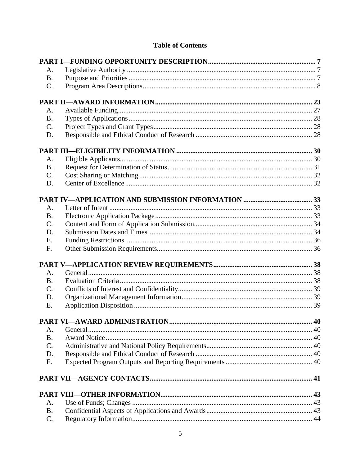## **Table of Contents**

| А.              |          |  |
|-----------------|----------|--|
| <b>B.</b>       |          |  |
| $C$ .           |          |  |
|                 |          |  |
| A.              |          |  |
| <b>B.</b>       |          |  |
| $\mathcal{C}$ . |          |  |
| D.              |          |  |
|                 |          |  |
| А.              |          |  |
| <b>B.</b>       |          |  |
| $\mathcal{C}$ . |          |  |
| D.              |          |  |
|                 |          |  |
|                 |          |  |
| A.              |          |  |
| <b>B.</b>       |          |  |
| C.              |          |  |
| D.              |          |  |
| E.              |          |  |
| F.              |          |  |
|                 |          |  |
| A.              |          |  |
| <b>B.</b>       |          |  |
| C.              |          |  |
| D.              |          |  |
| E.              |          |  |
|                 |          |  |
| A.              | General. |  |
| <b>B.</b>       |          |  |
| $\mathcal{C}$ . |          |  |
| D.              |          |  |
| Ε.              |          |  |
|                 |          |  |
|                 |          |  |
|                 |          |  |
| A.              |          |  |
| <b>B.</b>       |          |  |
| C.              |          |  |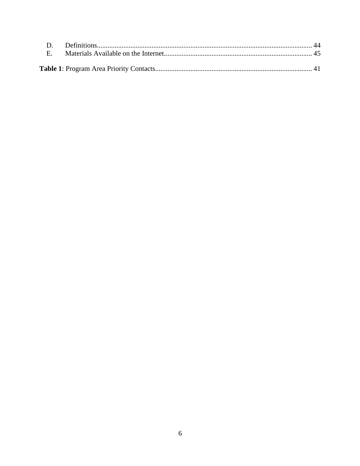| $\mathbf{E}$ |  |
|--------------|--|
|              |  |
|              |  |
|              |  |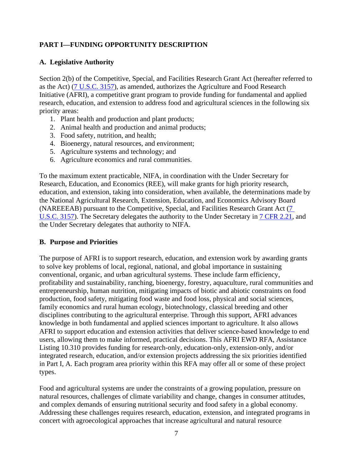## <span id="page-6-0"></span>**PART I—FUNDING OPPORTUNITY DESCRIPTION**

#### <span id="page-6-1"></span>**A. Legislative Authority**

Section 2(b) of the Competitive, Special, and Facilities Research Grant Act (hereafter referred to as the Act) [\(7 U.S.C. 3157\)](https://uscode.house.gov/view.xhtml?req=(title:7%20section:3157%20edition:prelim)%20OR%20(granuleid:USC-prelim-title7-section3157)&f=treesort&edition=prelim&num=0&jumpTo=true), as amended, authorizes the Agriculture and Food Research Initiative (AFRI), a competitive grant program to provide funding for fundamental and applied research, education, and extension to address food and agricultural sciences in the following six priority areas:

- 1. Plant health and production and plant products;
- 2. Animal health and production and animal products;
- 3. Food safety, nutrition, and health;
- 4. Bioenergy, natural resources, and environment;
- 5. Agriculture systems and technology; and
- 6. Agriculture economics and rural communities.

To the maximum extent practicable, NIFA, in coordination with the Under Secretary for Research, Education, and Economics (REE), will make grants for high priority research, education, and extension, taking into consideration, when available, the determinations made by the National Agricultural Research, Extension, Education, and Economics Advisory Board (NAREEEAB) pursuant to the Competitive, Special, and Facilities Research Grant Act [\(7](https://uscode.house.gov/view.xhtml?req=(title:7%20section:3157%20edition:prelim)%20OR%20(granuleid:USC-prelim-title7-section3157)&f=treesort&edition=prelim&num=0&jumpTo=true)  [U.S.C. 3157\)](https://uscode.house.gov/view.xhtml?req=(title:7%20section:3157%20edition:prelim)%20OR%20(granuleid:USC-prelim-title7-section3157)&f=treesort&edition=prelim&num=0&jumpTo=true). The Secretary delegates the authority to the Under Secretary in [7 CFR 2.21,](https://www.ecfr.gov/cgi-bin/text-idx?SID=fb71e0bdd8201139683f371c33f35d70&mc=true&node=se7.1.2_121&rgn=div8) and the Under Secretary delegates that authority to NIFA.

#### <span id="page-6-2"></span>**B. Purpose and Priorities**

The purpose of AFRI is to support research, education, and extension work by awarding grants to solve key problems of local, regional, national, and global importance in sustaining conventional, organic, and urban agricultural systems. These include farm efficiency, profitability and sustainability, ranching, bioenergy, forestry, aquaculture, rural communities and entrepreneurship, human nutrition, mitigating impacts of biotic and abiotic constraints on food production, food safety, mitigating food waste and food loss, physical and social sciences, family economics and rural human ecology, biotechnology, classical breeding and other disciplines contributing to the agricultural enterprise. Through this support, AFRI advances knowledge in both fundamental and applied sciences important to agriculture. It also allows AFRI to support education and extension activities that deliver science-based knowledge to end users, allowing them to make informed, practical decisions. This AFRI EWD RFA, Assistance Listing 10.310 provides funding for research-only, education-only, extension-only, and/or integrated research, education, and/or extension projects addressing the six priorities identified in Part I, A. Each program area priority within this RFA may offer all or some of these project types.

Food and agricultural systems are under the constraints of a growing population, pressure on natural resources, challenges of climate variability and change, changes in consumer attitudes, and complex demands of ensuring nutritional security and food safety in a global economy. Addressing these challenges requires research, education, extension, and integrated programs in concert with agroecological approaches that increase agricultural and natural resource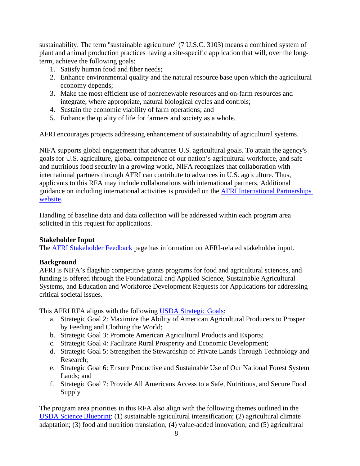sustainability. The term "sustainable agriculture" (7 U.S.C. 3103) means a combined system of plant and animal production practices having a site-specific application that will, over the longterm, achieve the following goals:

- 1. Satisfy human food and fiber needs;
- 2. Enhance environmental quality and the natural resource base upon which the agricultural economy depends;
- 3. Make the most efficient use of nonrenewable resources and on-farm resources and integrate, where appropriate, natural biological cycles and controls;
- 4. Sustain the economic viability of farm operations; and
- 5. Enhance the quality of life for farmers and society as a whole.

AFRI encourages projects addressing enhancement of sustainability of agricultural systems.

NIFA supports global engagement that advances U.S. agricultural goals. To attain the agency's goals for U.S. agriculture, global competence of our nation's agricultural workforce, and safe and nutritious food security in a growing world, NIFA recognizes that collaboration with international partners through AFRI can contribute to advances in U.S. agriculture. Thus, applicants to this RFA may include collaborations with international partners. Additional guidance on including international activities is provided on the **AFRI** International Partnerships [website.](https://nifa.usda.gov/resource/afri-international-partnerships)

Handling of baseline data and data collection will be addressed within each program area solicited in this request for applications.

## **Stakeholder Input**

The **AFRI Stakeholder Feedback** page has information on AFRI-related stakeholder input.

## **Background**

AFRI is NIFA's flagship competitive grants programs for food and agricultural sciences, and funding is offered through the Foundational and Applied Science, Sustainable Agricultural Systems, and Education and Workforce Development Requests for Applications for addressing critical societal issues.

This AFRI RFA aligns with the following [USDA Strategic Goals:](https://www.usda.gov/our-agency/about-usda/strategic-goals)

- a. Strategic Goal 2: Maximize the Ability of American Agricultural Producers to Prosper by Feeding and Clothing the World;
- b. Strategic Goal 3: Promote American Agricultural Products and Exports;
- c. Strategic Goal 4: Facilitate Rural Prosperity and Economic Development;
- d. Strategic Goal 5: Strengthen the Stewardship of Private Lands Through Technology and Research;
- e. Strategic Goal 6: Ensure Productive and Sustainable Use of Our National Forest System Lands; and
- f. Strategic Goal 7: Provide All Americans Access to a Safe, Nutritious, and Secure Food Supply

<span id="page-7-0"></span>The program area priorities in this RFA also align with the following themes outlined in the [USDA Science Blueprint:](https://www.usda.gov/sites/default/files/documents/usda-science-blueprint.pdf) (1) sustainable agricultural intensification; (2) agricultural climate adaptation; (3) food and nutrition translation; (4) value-added innovation; and (5) agricultural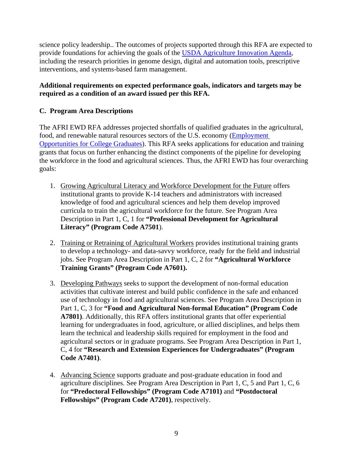science policy leadership.. The outcomes of projects supported through this RFA are expected to provide foundations for achieving the goals of the [USDA Agriculture Innovation Agenda,](https://www.usda.gov/sites/default/files/documents/agriculture-innovation-agenda-vision-statement.pdf) including the research priorities in genome design, digital and automation tools, prescriptive interventions, and systems-based farm management.

## **Additional requirements on expected performance goals, indicators and targets may be required as a condition of an award issued per this RFA.**

## **C. Program Area Descriptions**

The AFRI EWD RFA addresses projected shortfalls of qualified graduates in the agricultural, food, and renewable natural resources sectors of the U.S. economy [\(Employment](https://www.purdue.edu/usda/employment/)  [Opportunities for College Graduates\)](https://www.purdue.edu/usda/employment/). This RFA seeks applications for education and training grants that focus on further enhancing the distinct components of the pipeline for developing the workforce in the food and agricultural sciences. Thus, the AFRI EWD has four overarching goals:

- 1. Growing Agricultural Literacy and Workforce Development for the Future offers institutional grants to provide K-14 teachers and administrators with increased knowledge of food and agricultural sciences and help them develop improved curricula to train the agricultural workforce for the future. See Program Area Description in Part 1, C, 1 for **"Professional Development for Agricultural Literacy" (Program Code A7501**).
- 2. Training or Retraining of Agricultural Workers provides institutional training grants to develop a technology- and data-savvy workforce, ready for the field and industrial jobs. See Program Area Description in Part 1, C, 2 for **"Agricultural Workforce Training Grants" (Program Code A7601).**
- 3. Developing Pathways seeks to support the development of non-formal education activities that cultivate interest and build public confidence in the safe and enhanced use of technology in food and agricultural sciences. See Program Area Description in Part 1, C, 3 for **"Food and Agricultural Non-formal Education" (Program Code A7801)**. Additionally, this RFA offers institutional grants that offer experiential learning for undergraduates in food, agriculture, or allied disciplines, and helps them learn the technical and leadership skills required for employment in the food and agricultural sectors or in graduate programs. See Program Area Description in Part 1, C, 4 for **"Research and Extension Experiences for Undergraduates" (Program Code A7401)**.
- 4. Advancing Science supports graduate and post-graduate education in food and agriculture disciplines. See Program Area Description in Part 1, C, 5 and Part 1, C, 6 for **"Predoctoral Fellowships" (Program Code A7101)** and **"Postdoctoral Fellowships" (Program Code A7201)**, respectively.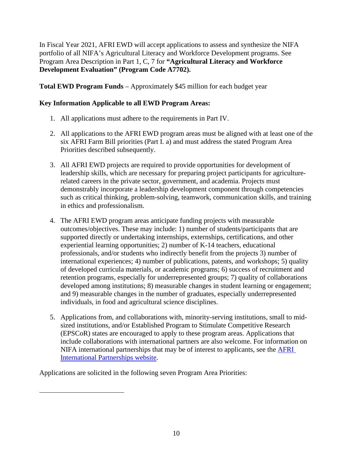In Fiscal Year 2021, AFRI EWD will accept applications to assess and synthesize the NIFA portfolio of all NIFA's Agricultural Literacy and Workforce Development programs. See Program Area Description in Part 1, C, 7 for **"Agricultural Literacy and Workforce Development Evaluation" (Program Code A7702).**

**Total EWD Program Funds** – Approximately \$45 million for each budget year

## **Key Information Applicable to all EWD Program Areas:**

- 1. All applications must adhere to the requirements in Part IV.
- 2. All applications to the AFRI EWD program areas must be aligned with at least one of the six AFRI Farm Bill priorities (Part I. a) and must address the stated Program Area Priorities described subsequently.
- 3. All AFRI EWD projects are required to provide opportunities for development of leadership skills, which are necessary for preparing project participants for agriculturerelated careers in the private sector, government, and academia. Projects must demonstrably incorporate a leadership development component through competencies such as critical thinking, problem-solving, teamwork, communication skills, and training in ethics and professionalism.
- 4. The AFRI EWD program areas anticipate funding projects with measurable outcomes/objectives. These may include: 1) number of students/participants that are supported directly or undertaking internships, externships, certifications, and other experiential learning opportunities; 2) number of K-14 teachers, educational professionals, and/or students who indirectly benefit from the projects 3) number of international experiences; 4) number of publications, patents, and workshops; 5) quality of developed curricula materials, or academic programs; 6) success of recruitment and retention programs, especially for underrepresented groups; 7) quality of collaborations developed among institutions; 8) measurable changes in student learning or engagement; and 9) measurable changes in the number of graduates, especially underrepresented individuals, in food and agricultural science disciplines.
- 5. Applications from, and collaborations with, minority-serving institutions, small to midsized institutions, and/or Established Program to Stimulate Competitive Research (EPSCoR) states are encouraged to apply to these program areas. Applications that include collaborations with international partners are also welcome. For information on NIFA international partnerships that may be of interest to applicants, see the [AFRI](https://nifa.usda.gov/resource/afri-international-partnerships)  [International Partnerships website.](https://nifa.usda.gov/resource/afri-international-partnerships)

Applications are solicited in the following seven Program Area Priorities: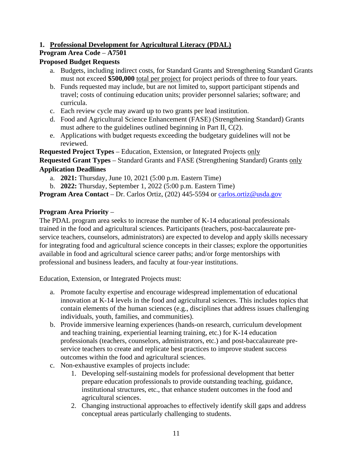## **1. Professional Development for Agricultural Literacy (PDAL)**

## **Program Area Code** – **A7501**

## **Proposed Budget Requests**

- a. Budgets, including indirect costs, for Standard Grants and Strengthening Standard Grants must not exceed **\$500,000** total per project for project periods of three to four years.
- b. Funds requested may include, but are not limited to, support participant stipends and travel; costs of continuing education units; provider personnel salaries; software; and curricula.
- c. Each review cycle may award up to two grants per lead institution.
- d. Food and Agricultural Science Enhancement (FASE) (Strengthening Standard) Grants must adhere to the guidelines outlined beginning in Part II, C(2).
- e. Applications with budget requests exceeding the budgetary guidelines will not be reviewed.

**Requested Project Types** – Education, Extension, or Integrated Projects only

**Requested Grant Types** – Standard Grants and FASE (Strengthening Standard) Grants only **Application Deadlines**

- a. **2021:** Thursday, June 10, 2021 (5:00 p.m. Eastern Time)
- b. **2022:** Thursday, September 1, 2022 (5:00 p.m. Eastern Time)

**Program Area Contact** – Dr. Carlos Ortiz, (202) 445-5594 or [carlos.ortiz@usda.gov](mailto:carlos.ortiz@usda.gov)

## **Program Area Priority** –

The PDAL program area seeks to increase the number of K-14 educational professionals trained in the food and agricultural sciences. Participants (teachers, post-baccalaureate preservice teachers, counselors, administrators) are expected to develop and apply skills necessary for integrating food and agricultural science concepts in their classes; explore the opportunities available in food and agricultural science career paths; and/or forge mentorships with professional and business leaders, and faculty at four-year institutions.

Education, Extension, or Integrated Projects must:

- a. Promote faculty expertise and encourage widespread implementation of educational innovation at K-14 levels in the food and agricultural sciences. This includes topics that contain elements of the human sciences (e.g., disciplines that address issues challenging individuals, youth, families, and communities).
- b. Provide immersive learning experiences (hands-on research, curriculum development and teaching training, experiential learning training, etc.) for K-14 education professionals (teachers, counselors, administrators, etc.) and post-baccalaureate preservice teachers to create and replicate best practices to improve student success outcomes within the food and agricultural sciences.
- c. Non-exhaustive examples of projects include:
	- 1. Developing self-sustaining models for professional development that better prepare education professionals to provide outstanding teaching, guidance, institutional structures, etc., that enhance student outcomes in the food and agricultural sciences.
	- 2. Changing instructional approaches to effectively identify skill gaps and address conceptual areas particularly challenging to students.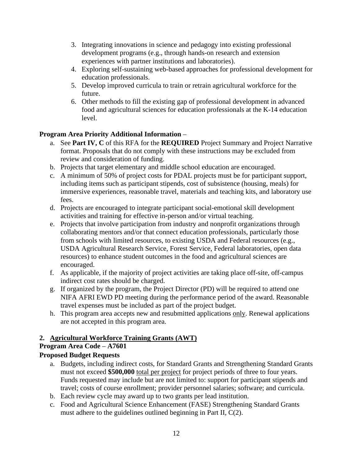- 3. Integrating innovations in science and pedagogy into existing professional development programs (e.g., through hands-on research and extension experiences with partner institutions and laboratories).
- 4. Exploring self-sustaining web-based approaches for professional development for education professionals.
- 5. Develop improved curricula to train or retrain agricultural workforce for the future.
- 6. Other methods to fill the existing gap of professional development in advanced food and agricultural sciences for education professionals at the K-14 education level.

## **Program Area Priority Additional Information** –

- a. See **Part IV, C** of this RFA for the **REQUIRED** Project Summary and Project Narrative format. Proposals that do not comply with these instructions may be excluded from review and consideration of funding.
- b. Projects that target elementary and middle school education are encouraged.
- c. A minimum of 50% of project costs for PDAL projects must be for participant support, including items such as participant stipends, cost of subsistence (housing, meals) for immersive experiences, reasonable travel, materials and teaching kits, and laboratory use fees.
- d. Projects are encouraged to integrate participant social-emotional skill development activities and training for effective in-person and/or virtual teaching.
- e. Projects that involve participation from industry and nonprofit organizations through collaborating mentors and/or that connect education professionals, particularly those from schools with limited resources, to existing USDA and Federal resources (e.g., USDA Agricultural Research Service, Forest Service, Federal laboratories, open data resources) to enhance student outcomes in the food and agricultural sciences are encouraged.
- f. As applicable, if the majority of project activities are taking place off-site, off-campus indirect cost rates should be charged.
- g. If organized by the program, the Project Director (PD) will be required to attend one NIFA AFRI EWD PD meeting during the performance period of the award. Reasonable travel expenses must be included as part of the project budget.
- h. This program area accepts new and resubmitted applications only. Renewal applications are not accepted in this program area.

## **2. Agricultural Workforce Training Grants (AWT)**

## **Program Area Code** – **A7601**

## **Proposed Budget Requests**

- a. Budgets, including indirect costs, for Standard Grants and Strengthening Standard Grants must not exceed **\$500,000** total per project for project periods of three to four years. Funds requested may include but are not limited to: support for participant stipends and travel; costs of course enrollment; provider personnel salaries; software; and curricula.
- b. Each review cycle may award up to two grants per lead institution.
- c. Food and Agricultural Science Enhancement (FASE) Strengthening Standard Grants must adhere to the guidelines outlined beginning in Part II, C(2).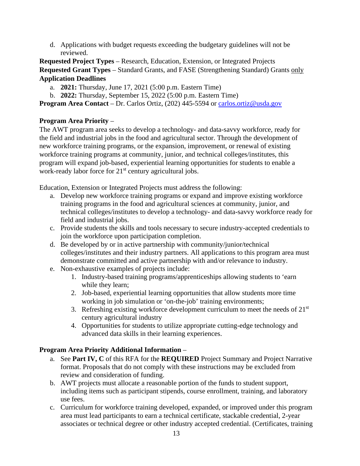d. Applications with budget requests exceeding the budgetary guidelines will not be reviewed.

**Requested Project Types** – Research, Education, Extension, or Integrated Projects **Requested Grant Types** – Standard Grants, and FASE (Strengthening Standard) Grants only **Application Deadlines**

- a. **2021:** Thursday, June 17, 2021 (5:00 p.m. Eastern Time)
- b. **2022:** Thursday, September 15, 2022 (5:00 p.m. Eastern Time)

**Program Area Contact** – Dr. Carlos Ortiz, (202) 445-5594 or carlos.ortiz@usda.gov

## **Program Area Priority** –

The AWT program area seeks to develop a technology- and data-savvy workforce, ready for the field and industrial jobs in the food and agricultural sector. Through the development of new workforce training programs, or the expansion, improvement, or renewal of existing workforce training programs at community, junior, and technical colleges/institutes, this program will expand job-based, experiential learning opportunities for students to enable a work-ready labor force for 21<sup>st</sup> century agricultural jobs.

Education, Extension or Integrated Projects must address the following:

- a. Develop new workforce training programs or expand and improve existing workforce training programs in the food and agricultural sciences at community, junior, and technical colleges/institutes to develop a technology- and data-savvy workforce ready for field and industrial jobs.
- c. Provide students the skills and tools necessary to secure industry-accepted credentials to join the workforce upon participation completion.
- d. Be developed by or in active partnership with community/junior/technical colleges/institutes and their industry partners. All applications to this program area must demonstrate committed and active partnership with and/or relevance to industry.
- e. Non-exhaustive examples of projects include:
	- 1. Industry-based training programs/apprenticeships allowing students to 'earn while they learn;
	- 2. Job-based, experiential learning opportunities that allow students more time working in job simulation or 'on-the-job' training environments;
	- 3. Refreshing existing workforce development curriculum to meet the needs of  $21<sup>st</sup>$ century agricultural industry
	- 4. Opportunities for students to utilize appropriate cutting-edge technology and advanced data skills in their learning experiences.

## **Program Area Priority Additional Information** –

- a. See **Part IV, C** of this RFA for the **REQUIRED** Project Summary and Project Narrative format. Proposals that do not comply with these instructions may be excluded from review and consideration of funding.
- b. AWT projects must allocate a reasonable portion of the funds to student support, including items such as participant stipends, course enrollment, training, and laboratory use fees.
- c. Curriculum for workforce training developed, expanded, or improved under this program area must lead participants to earn a technical certificate, stackable credential, 2-year associates or technical degree or other industry accepted credential. (Certificates, training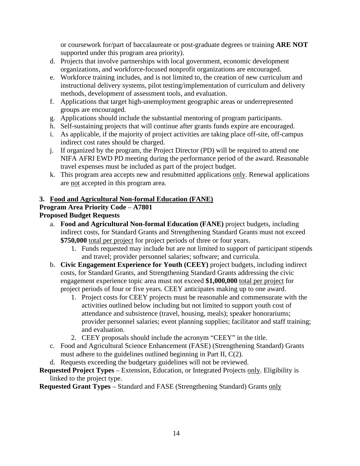or coursework for/part of baccalaureate or post-graduate degrees or training **ARE NOT** supported under this program area priority).

- d. Projects that involve partnerships with local government, economic development organizations, and workforce-focused nonprofit organizations are encouraged.
- e. Workforce training includes, and is not limited to, the creation of new curriculum and instructional delivery systems, pilot testing/implementation of curriculum and delivery methods, development of assessment tools, and evaluation.
- f. Applications that target high-unemployment geographic areas or underrepresented groups are encouraged.
- g. Applications should include the substantial mentoring of program participants.
- h. Self-sustaining projects that will continue after grants funds expire are encouraged.
- i. As applicable, if the majority of project activities are taking place off-site, off-campus indirect cost rates should be charged.
- j. If organized by the program, the Project Director (PD) will be required to attend one NIFA AFRI EWD PD meeting during the performance period of the award. Reasonable travel expenses must be included as part of the project budget.
- k. This program area accepts new and resubmitted applications only. Renewal applications are not accepted in this program area.

## **3. Food and Agricultural Non-formal Education (FANE)**

## **Program Area Priority Code** – **A7801**

## **Proposed Budget Requests**

- a. **Food and Agricultural Non-formal Education (FANE)** project budgets, including indirect costs, for Standard Grants and Strengthening Standard Grants must not exceed **\$750,000** total per project for project periods of three or four years.
	- 1. Funds requested may include but are not limited to support of participant stipends and travel; provider personnel salaries; software; and curricula.
- b. **Civic Engagement Experience for Youth (CEEY)** project budgets, including indirect costs, for Standard Grants, and Strengthening Standard Grants addressing the civic engagement experience topic area must not exceed **\$1,000,000** total per project for project periods of four or five years. CEEY anticipates making up to one award.
	- 1. Project costs for CEEY projects must be reasonable and commensurate with the activities outlined below including but not limited to support youth cost of attendance and subsistence (travel, housing, meals); speaker honorariums; provider personnel salaries; event planning supplies; facilitator and staff training; and evaluation.
	- 2. CEEY proposals should include the acronym "CEEY" in the title.
- c. Food and Agricultural Science Enhancement (FASE) (Strengthening Standard) Grants must adhere to the guidelines outlined beginning in Part II, C(2).
- d. Requests exceeding the budgetary guidelines will not be reviewed.

## **Requested Project Types** – Extension, Education, or Integrated Projects only. Eligibility is linked to the project type.

**Requested Grant Types** – Standard and FASE (Strengthening Standard) Grants only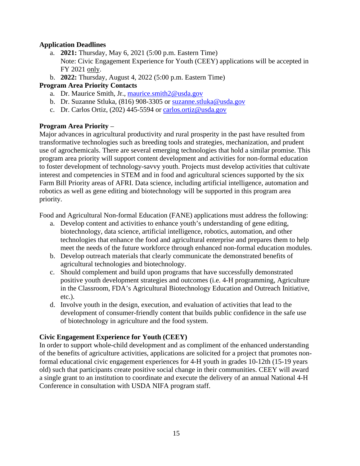#### **Application Deadlines**

- a. **2021:** Thursday, May 6, 2021 (5:00 p.m. Eastern Time) Note: Civic Engagement Experience for Youth (CEEY) applications will be accepted in FY 2021 only.
- b. **2022:** Thursday, August 4, 2022 (5:00 p.m. Eastern Time)

#### **Program Area Priority Contacts**

- a. Dr. Maurice Smith, Jr., [maurice.smith2@usda.gov](mailto:maurice.smith2@usda.gov)
- b. Dr. Suzanne Stluka, (816) 908-3305 or [suzanne.stluka@usda.gov](mailto:suzanne.stluka@usda.gov)
- c. Dr. Carlos Ortiz, (202) 445-5594 or [carlos.ortiz@usda.gov](mailto:carlos.ortiz@usda.gov)

#### **Program Area Priority** –

Major advances in agricultural productivity and rural prosperity in the past have resulted from transformative technologies such as breeding tools and strategies, mechanization, and prudent use of agrochemicals. There are several emerging technologies that hold a similar promise. This program area priority will support content development and activities for non-formal education to foster development of technology-savvy youth. Projects must develop activities that cultivate interest and competencies in STEM and in food and agricultural sciences supported by the six Farm Bill Priority areas of AFRI. Data science, including artificial intelligence, automation and robotics as well as gene editing and biotechnology will be supported in this program area priority.

Food and Agricultural Non-formal Education (FANE) applications must address the following:

- a. Develop content and activities to enhance youth's understanding of gene editing, biotechnology, data science, artificial intelligence, robotics, automation, and other technologies that enhance the food and agricultural enterprise and prepares them to help meet the needs of the future workforce through enhanced non-formal education modules.
- b. Develop outreach materials that clearly communicate the demonstrated benefits of agricultural technologies and biotechnology.
- c. Should complement and build upon programs that have successfully demonstrated positive youth development strategies and outcomes (i.e. 4-H programming, Agriculture in the Classroom, FDA's Agricultural Biotechnology Education and Outreach Initiative, etc.).
- d. Involve youth in the design, execution, and evaluation of activities that lead to the development of consumer-friendly content that builds public confidence in the safe use of biotechnology in agriculture and the food system.

## **Civic Engagement Experience for Youth (CEEY)**

In order to support whole-child development and as compliment of the enhanced understanding of the benefits of agriculture activities, applications are solicited for a project that promotes nonformal educational civic engagement experiences for 4-H youth in grades 10-12th (15-19 years old) such that participants create positive social change in their communities. CEEY will award a single grant to an institution to coordinate and execute the delivery of an annual National 4-H Conference in consultation with USDA NIFA program staff.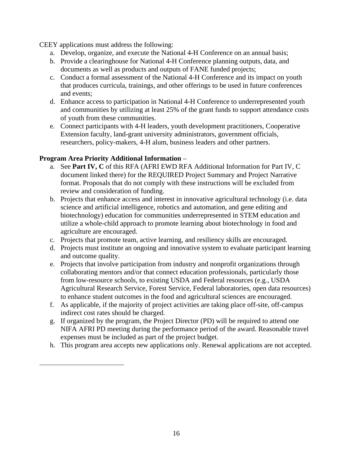CEEY applications must address the following:

- a. Develop, organize, and execute the National 4-H Conference on an annual basis;
- b. Provide a clearinghouse for National 4-H Conference planning outputs, data, and documents as well as products and outputs of FANE funded projects;
- c. Conduct a formal assessment of the National 4-H Conference and its impact on youth that produces curricula, trainings, and other offerings to be used in future conferences and events;
- d. Enhance access to participation in National 4-H Conference to underrepresented youth and communities by utilizing at least 25% of the grant funds to support attendance costs of youth from these communities.
- e. Connect participants with 4-H leaders, youth development practitioners, Cooperative Extension faculty, land-grant university administrators, government officials, researchers, policy-makers, 4-H alum, business leaders and other partners.

## **Program Area Priority Additional Information** –

- a. See **Part IV, C** of this RFA (AFRI EWD RFA Additional Information for Part IV, C document linked there) for the REQUIRED Project Summary and Project Narrative format. Proposals that do not comply with these instructions will be excluded from review and consideration of funding.
- b. Projects that enhance access and interest in innovative agricultural technology (i.e. data science and artificial intelligence, robotics and automation, and gene editing and biotechnology) education for communities underrepresented in STEM education and utilize a whole-child approach to promote learning about biotechnology in food and agriculture are encouraged.
- c. Projects that promote team, active learning, and resiliency skills are encouraged.
- d. Projects must institute an ongoing and innovative system to evaluate participant learning and outcome quality.
- e. Projects that involve participation from industry and nonprofit organizations through collaborating mentors and/or that connect education professionals, particularly those from low-resource schools, to existing USDA and Federal resources (e.g., USDA Agricultural Research Service, Forest Service, Federal laboratories, open data resources) to enhance student outcomes in the food and agricultural sciences are encouraged.
- f. As applicable, if the majority of project activities are taking place off-site, off-campus indirect cost rates should be charged.
- g. If organized by the program, the Project Director (PD) will be required to attend one NIFA AFRI PD meeting during the performance period of the award. Reasonable travel expenses must be included as part of the project budget.
- h. This program area accepts new applications only. Renewal applications are not accepted.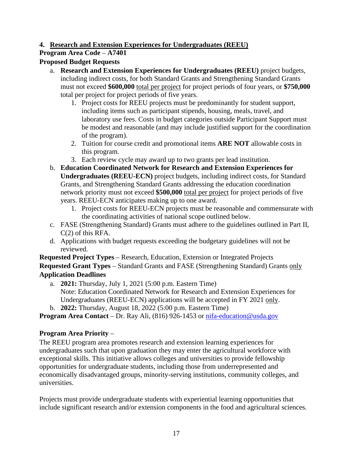## **4. Research and Extension Experiences for Undergraduates (REEU)**

## **Program Area Code** – **A7401**

## **Proposed Budget Requests**

- a. **Research and Extension Experiences for Undergraduates (REEU)** project budgets, including indirect costs, for both Standard Grants and Strengthening Standard Grants must not exceed **\$600,000** total per project for project periods of four years, or **\$750,000**  total per project for project periods of five years.
	- 1. Project costs for REEU projects must be predominantly for student support, including items such as participant stipends, housing, meals, travel, and laboratory use fees. Costs in budget categories outside Participant Support must be modest and reasonable (and may include justified support for the coordination of the program).
	- 2. Tuition for course credit and promotional items **ARE NOT** allowable costs in this program.
	- 3. Each review cycle may award up to two grants per lead institution.
- b. **Education Coordinated Network for Research and Extension Experiences for Undergraduates (REEU-ECN)** project budgets, including indirect costs, for Standard Grants, and Strengthening Standard Grants addressing the education coordination network priority must not exceed **\$500,000** total per project for project periods of five years. REEU-ECN anticipates making up to one award.
	- 1. Project costs for REEU-ECN projects must be reasonable and commensurate with the coordinating activities of national scope outlined below.
- c. FASE (Strengthening Standard) Grants must adhere to the guidelines outlined in Part II, C(2) of this RFA.
- d. Applications with budget requests exceeding the budgetary guidelines will not be reviewed.

**Requested Project Types** – Research, Education, Extension or Integrated Projects **Requested Grant Types** – Standard Grants and FASE (Strengthening Standard) Grants only **Application Deadlines**

- a. **2021:** Thursday, July 1, 2021 (5:00 p.m. Eastern Time) Note: Education Coordinated Network for Research and Extension Experiences for Undergraduates (REEU-ECN) applications will be accepted in FY 2021 only.
- b. **2022:** Thursday, August 18, 2022 (5:00 p.m. Eastern Time)

**Program Area Contact** – Dr. Ray Ali, (816) 926-1453 or [nifa-education@usda.gov](mailto:nifa-education@usda.gov)

## **Program Area Priority** –

The REEU program area promotes research and extension learning experiences for undergraduates such that upon graduation they may enter the agricultural workforce with exceptional skills. This initiative allows colleges and universities to provide fellowship opportunities for undergraduate students, including those from underrepresented and economically disadvantaged groups, minority-serving institutions, community colleges, and universities.

Projects must provide undergraduate students with experiential learning opportunities that include significant research and/or extension components in the food and agricultural sciences.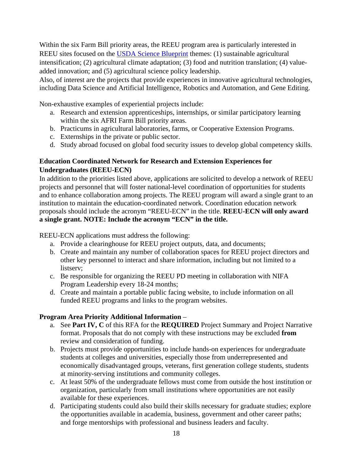Within the six Farm Bill priority areas, the REEU program area is particularly interested in REEU sites focused on the [USDA Science Blueprint](https://www.usda.gov/sites/default/files/documents/usda-science-blueprint.pdf) themes: (1) sustainable agricultural intensification; (2) agricultural climate adaptation; (3) food and nutrition translation; (4) valueadded innovation; and (5) agricultural science policy leadership.

Also, of interest are the projects that provide experiences in innovative agricultural technologies, including Data Science and Artificial Intelligence, Robotics and Automation, and Gene Editing.

Non-exhaustive examples of experiential projects include:

- a. Research and extension apprenticeships, internships, or similar participatory learning within the six AFRI Farm Bill priority areas.
- b. Practicums in agricultural laboratories, farms, or Cooperative Extension Programs.
- c. Externships in the private or public sector.
- d. Study abroad focused on global food security issues to develop global competency skills.

## **Education Coordinated Network for Research and Extension Experiences for Undergraduates (REEU-ECN)**

In addition to the priorities listed above, applications are solicited to develop a network of REEU projects and personnel that will foster national-level coordination of opportunities for students and to enhance collaboration among projects. The REEU program will award a single grant to an institution to maintain the education-coordinated network. Coordination education network proposals should include the acronym "REEU-ECN" in the title. **REEU-ECN will only award a single grant. NOTE: Include the acronym "ECN" in the title.**

REEU-ECN applications must address the following:

- a. Provide a clearinghouse for REEU project outputs, data, and documents;
- b. Create and maintain any number of collaboration spaces for REEU project directors and other key personnel to interact and share information, including but not limited to a listserv;
- c. Be responsible for organizing the REEU PD meeting in collaboration with NIFA Program Leadership every 18-24 months;
- d. Create and maintain a portable public facing website, to include information on all funded REEU programs and links to the program websites.

## **Program Area Priority Additional Information** –

- a. See **Part IV, C** of this RFA for the **REQUIRED** Project Summary and Project Narrative format. Proposals that do not comply with these instructions may be excluded **from** review and consideration of funding.
- b. Projects must provide opportunities to include hands-on experiences for undergraduate students at colleges and universities, especially those from underrepresented and economically disadvantaged groups, veterans, first generation college students, students at minority-serving institutions and community colleges.
- c. At least 50% of the undergraduate fellows must come from outside the host institution or organization, particularly from small institutions where opportunities are not easily available for these experiences.
- d. Participating students could also build their skills necessary for graduate studies; explore the opportunities available in academia, business, government and other career paths; and forge mentorships with professional and business leaders and faculty.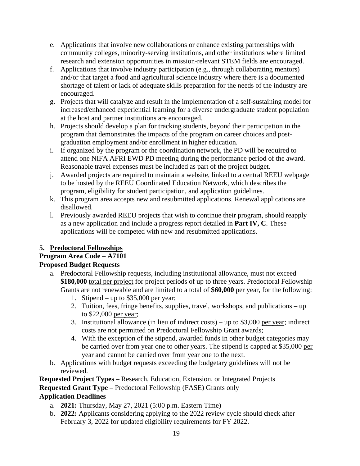- e. Applications that involve new collaborations or enhance existing partnerships with community colleges, minority-serving institutions, and other institutions where limited research and extension opportunities in mission-relevant STEM fields are encouraged.
- f. Applications that involve industry participation (e.g., through collaborating mentors) and/or that target a food and agricultural science industry where there is a documented shortage of talent or lack of adequate skills preparation for the needs of the industry are encouraged.
- g. Projects that will catalyze and result in the implementation of a self-sustaining model for increased/enhanced experiential learning for a diverse undergraduate student population at the host and partner institutions are encouraged.
- h. Projects should develop a plan for tracking students, beyond their participation in the program that demonstrates the impacts of the program on career choices and postgraduation employment and/or enrollment in higher education.
- i. If organized by the program or the coordination network, the PD will be required to attend one NIFA AFRI EWD PD meeting during the performance period of the award. Reasonable travel expenses must be included as part of the project budget.
- j. Awarded projects are required to maintain a website, linked to a central REEU webpage to be hosted by the REEU Coordinated Education Network, which describes the program, eligibility for student participation, and application guidelines.
- k. This program area accepts new and resubmitted applications. Renewal applications are disallowed.
- l. Previously awarded REEU projects that wish to continue their program, should reapply as a new application and include a progress report detailed in **Part IV, C**. These applications will be competed with new and resubmitted applications.

## **5. Predoctoral Fellowships**

## **Program Area Code** – **A7101**

## **Proposed Budget Requests**

- a. Predoctoral Fellowship requests, including institutional allowance, must not exceed **\$180,000** total per project for project periods of up to three years. Predoctoral Fellowship Grants are not renewable and are limited to a total of **\$60,000** per year, for the following:
	- 1. Stipend up to \$35,000 per year;
	- 2. Tuition, fees, fringe benefits, supplies, travel, workshops, and publications up to \$22,000 per year;
	- 3. Institutional allowance (in lieu of indirect costs) up to \$3,000 per year; indirect costs are not permitted on Predoctoral Fellowship Grant awards;
	- 4. With the exception of the stipend, awarded funds in other budget categories may be carried over from year one to other years. The stipend is capped at \$35,000 per year and cannot be carried over from year one to the next.
- b. Applications with budget requests exceeding the budgetary guidelines will not be reviewed.

**Requested Project Types** – Research, Education, Extension, or Integrated Projects **Requested Grant Type** – Predoctoral Fellowship (FASE) Grants only **Application Deadlines**

- a. **2021:** Thursday, May 27, 2021 (5:00 p.m. Eastern Time)
- b. **2022:** Applicants considering applying to the 2022 review cycle should check after February 3, 2022 for updated eligibility requirements for FY 2022.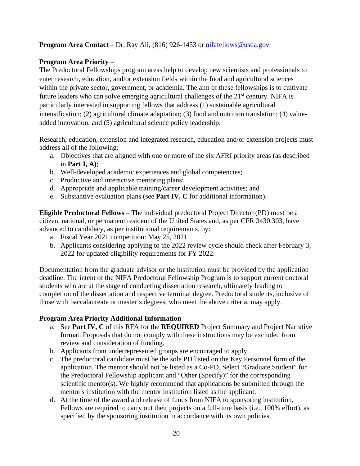## **Program Area Contact** – Dr. Ray Ali, (816) 926-1453 or [nifafellows@usda.gov](mailto:nifafellows@usda.gov)

#### **Program Area Priority** –

The Predoctoral Fellowships program areas help to develop new scientists and professionals to enter research, education, and/or extension fields within the food and agricultural sciences within the private sector, government, or academia. The aim of these fellowships is to cultivate future leaders who can solve emerging agricultural challenges of the 21<sup>st</sup> century. NIFA is particularly interested in supporting fellows that address (1) sustainable agricultural intensification; (2) agricultural climate adaptation; (3) food and nutrition translation; (4) valueadded innovation; and (5) agricultural science policy leadership.

Research, education, extension and integrated research, education and/or extension projects must address all of the following:

- a. Objectives that are aligned with one or more of the six AFRI priority areas (as described in **Part I, A)**;
- b. Well-developed academic experiences and global competencies;
- c. Productive and interactive mentoring plans;
- d. Appropriate and applicable training/career development activities; and
- e. Substantive evaluation plans (see **Part IV, C** for additional information).

**Eligible Predoctoral Fellows** – The individual predoctoral Project Director (PD) must be a citizen, national, or permanent resident of the United States and, as per CFR 3430.303, have advanced to candidacy, as per institutional requirements, by:

- a. Fiscal Year 2021 competition: May 25, 2021
- b. Applicants considering applying to the 2022 review cycle should check after February 3, 2022 for updated eligibility requirements for FY 2022.

Documentation from the graduate advisor or the institution must be provided by the application deadline. The intent of the NIFA Predoctoral Fellowship Program is to support current doctoral students who are at the stage of conducting dissertation research, ultimately leading to completion of the dissertation and respective terminal degree. Predoctoral students, inclusive of those with baccalaureate or master's degrees, who meet the above criteria, may apply.

## **Program Area Priority Additional Information** –

- a. See **Part IV, C** of this RFA for the **REQUIRED** Project Summary and Project Narrative format. Proposals that do not comply with these instructions may be excluded from review and consideration of funding.
- b. Applicants from underrepresented groups are encouraged to apply.
- c. The predoctoral candidate must be the sole PD listed on the Key Personnel form of the application. The mentor should not be listed as a Co-PD. Select "Graduate Student" for the Predoctoral Fellowship applicant and "Other (Specify)" for the corresponding scientific mentor(s). We highly recommend that applications be submitted through the mentor's institution with the mentor institution listed as the applicant.
- d. At the time of the award and release of funds from NIFA to sponsoring institution, Fellows are required to carry out their projects on a full-time basis (i.e., 100% effort), as specified by the sponsoring institution in accordance with its own policies.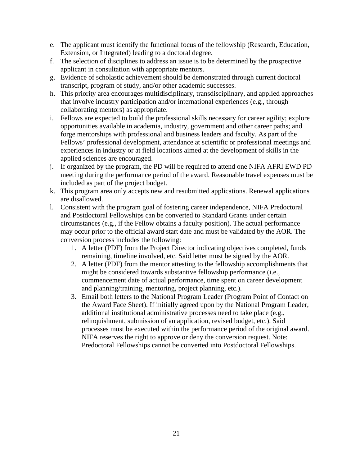- e. The applicant must identify the functional focus of the fellowship (Research, Education, Extension, or Integrated) leading to a doctoral degree.
- f. The selection of disciplines to address an issue is to be determined by the prospective applicant in consultation with appropriate mentors.
- g. Evidence of scholastic achievement should be demonstrated through current doctoral transcript, program of study, and/or other academic successes.
- h. This priority area encourages multidisciplinary, transdisciplinary, and applied approaches that involve industry participation and/or international experiences (e.g., through collaborating mentors) as appropriate.
- i. Fellows are expected to build the professional skills necessary for career agility; explore opportunities available in academia, industry, government and other career paths; and forge mentorships with professional and business leaders and faculty. As part of the Fellows' professional development, attendance at scientific or professional meetings and experiences in industry or at field locations aimed at the development of skills in the applied sciences are encouraged.
- j. If organized by the program, the PD will be required to attend one NIFA AFRI EWD PD meeting during the performance period of the award. Reasonable travel expenses must be included as part of the project budget.
- k. This program area only accepts new and resubmitted applications. Renewal applications are disallowed.
- l. Consistent with the program goal of fostering career independence, NIFA Predoctoral and Postdoctoral Fellowships can be converted to Standard Grants under certain circumstances (e.g., if the Fellow obtains a faculty position). The actual performance may occur prior to the official award start date and must be validated by the AOR. The conversion process includes the following:
	- 1. A letter (PDF) from the Project Director indicating objectives completed, funds remaining, timeline involved, etc. Said letter must be signed by the AOR.
	- 2. A letter (PDF) from the mentor attesting to the fellowship accomplishments that might be considered towards substantive fellowship performance (i.e., commencement date of actual performance, time spent on career development and planning/training, mentoring, project planning, etc.).
	- 3. Email both letters to the National Program Leader (Program Point of Contact on the Award Face Sheet). If initially agreed upon by the National Program Leader, additional institutional administrative processes need to take place (e.g., relinquishment, submission of an application, revised budget, etc.). Said processes must be executed within the performance period of the original award. NIFA reserves the right to approve or deny the conversion request. Note: Predoctoral Fellowships cannot be converted into Postdoctoral Fellowships.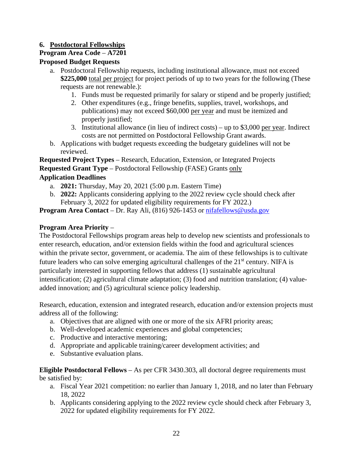## **6. Postdoctoral Fellowships**

## **Program Area Code** – **A7201**

## **Proposed Budget Requests**

- a. Postdoctoral Fellowship requests, including institutional allowance, must not exceed **\$225,000** total per project for project periods of up to two years for the following (These requests are not renewable.):
	- 1. Funds must be requested primarily for salary or stipend and be properly justified;
	- 2. Other expenditures (e.g., fringe benefits, supplies, travel, workshops, and publications) may not exceed \$60,000 per year and must be itemized and properly justified;
	- 3. Institutional allowance (in lieu of indirect costs) up to \$3,000 per year. Indirect costs are not permitted on Postdoctoral Fellowship Grant awards.
- b. Applications with budget requests exceeding the budgetary guidelines will not be reviewed.

**Requested Project Types** – Research, Education, Extension, or Integrated Projects **Requested Grant Type** – Postdoctoral Fellowship (FASE) Grants only **Application Deadlines**

- a. **2021:** Thursday, May 20, 2021 (5:00 p.m. Eastern Time)
- b. **2022:** Applicants considering applying to the 2022 review cycle should check after February 3, 2022 for updated eligibility requirements for FY 2022.)

**Program Area Contact** – Dr. Ray Ali, (816) 926-1453 or [nifafellows@usda.gov](mailto:nifafellows@usda.gov)

## **Program Area Priority** –

The Postdoctoral Fellowships program areas help to develop new scientists and professionals to enter research, education, and/or extension fields within the food and agricultural sciences within the private sector, government, or academia. The aim of these fellowships is to cultivate future leaders who can solve emerging agricultural challenges of the  $21<sup>st</sup>$  century. NIFA is particularly interested in supporting fellows that address (1) sustainable agricultural intensification; (2) agricultural climate adaptation; (3) food and nutrition translation; (4) valueadded innovation; and (5) agricultural science policy leadership.

Research, education, extension and integrated research, education and/or extension projects must address all of the following:

- a. Objectives that are aligned with one or more of the six AFRI priority areas;
- b. Well-developed academic experiences and global competencies;
- c. Productive and interactive mentoring;
- d. Appropriate and applicable training/career development activities; and
- e. Substantive evaluation plans.

**Eligible Postdoctoral Fellows** – As per CFR 3430.303, all doctoral degree requirements must be satisfied by:

- a. Fiscal Year 2021 competition: no earlier than January 1, 2018, and no later than February 18, 2022
- b. Applicants considering applying to the 2022 review cycle should check after February 3, 2022 for updated eligibility requirements for FY 2022.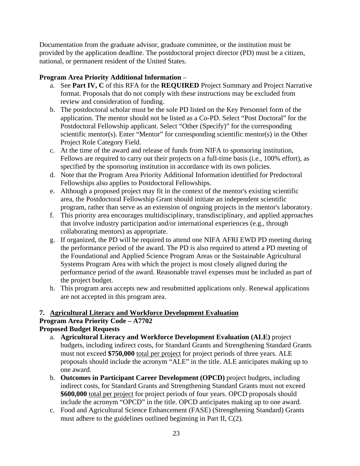Documentation from the graduate advisor, graduate committee, or the institution must be provided by the application deadline. The postdoctoral project director (PD) must be a citizen, national, or permanent resident of the United States.

## **Program Area Priority Additional Information** –

- a. See **Part IV, C** of this RFA for the **REQUIRED** Project Summary and Project Narrative format. Proposals that do not comply with these instructions may be excluded from review and consideration of funding.
- b. The postdoctoral scholar must be the sole PD listed on the Key Personnel form of the application. The mentor should not be listed as a Co-PD. Select "Post Doctoral" for the Postdoctoral Fellowship applicant. Select "Other (Specify)" for the corresponding scientific mentor(s). Enter "Mentor" for corresponding scientific mentor(s) in the Other Project Role Category Field.
- c. At the time of the award and release of funds from NIFA to sponsoring institution, Fellows are required to carry out their projects on a full-time basis (i.e., 100% effort), as specified by the sponsoring institution in accordance with its own policies.
- d. Note that the Program Area Priority Additional Information identified for Predoctoral Fellowships also applies to Postdoctoral Fellowships.
- e. Although a proposed project may fit in the context of the mentor's existing scientific area, the Postdoctoral Fellowship Grant should initiate an independent scientific program, rather than serve as an extension of ongoing projects in the mentor's laboratory.
- f. This priority area encourages multidisciplinary, transdisciplinary, and applied approaches that involve industry participation and/or international experiences (e.g., through collaborating mentors) as appropriate.
- g. If organized, the PD will be required to attend one NIFA AFRI EWD PD meeting during the performance period of the award. The PD is also required to attend a PD meeting of the Foundational and Applied Science Program Areas or the Sustainable Agricultural Systems Program Area with which the project is most closely aligned during the performance period of the award. Reasonable travel expenses must be included as part of the project budget.
- h. This program area accepts new and resubmitted applications only. Renewal applications are not accepted in this program area.

## <span id="page-22-0"></span>**7. Agricultural Literacy and Workforce Development Evaluation Program Area Priority Code – A7702 Proposed Budget Requests**

- a. **Agricultural Literacy and Workforce Development Evaluation (ALE)** project budgets, including indirect costs, for Standard Grants and Strengthening Standard Grants must not exceed **\$750,000** total per project for project periods of three years. ALE proposals should include the acronym "ALE" in the title. ALE anticipates making up to one award.
- b. **Outcomes in Participant Career Development (OPCD)** project budgets, including indirect costs, for Standard Grants and Strengthening Standard Grants must not exceed **\$600,000** total per project for project periods of four years. OPCD proposals should include the acronym "OPCD" in the title. OPCD anticipates making up to one award.
- c. Food and Agricultural Science Enhancement (FASE) (Strengthening Standard) Grants must adhere to the guidelines outlined beginning in Part II, C(2).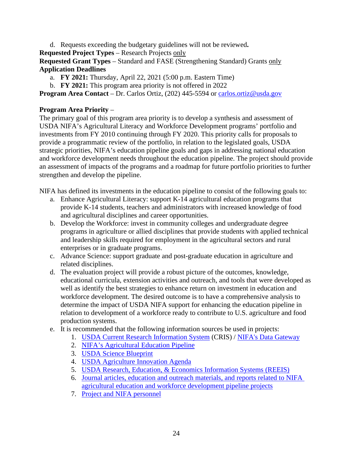d. Requests exceeding the budgetary guidelines will not be reviewed**.**

**Requested Project Types** – Research Projects only

**Requested Grant Types** – Standard and FASE (Strengthening Standard) Grants only **Application Deadlines**

- a. **FY 2021:** Thursday, April 22, 2021 (5:00 p.m. Eastern Time)
- b. **FY 2021:** This program area priority is not offered in 2022

**Program Area Contact** – Dr. Carlos Ortiz, (202) 445-5594 or [carlos.ortiz@usda.gov](mailto:carlos.ortiz@usda.gov)

## **Program Area Priority** –

The primary goal of this program area priority is to develop a synthesis and assessment of USDA NIFA's Agricultural Literacy and Workforce Development programs' portfolio and investments from FY 2010 continuing through FY 2020. This priority calls for proposals to provide a programmatic review of the portfolio, in relation to the legislated goals, USDA strategic priorities, NIFA's education pipeline goals and gaps in addressing national education and workforce development needs throughout the education pipeline. The project should provide an assessment of impacts of the programs and a roadmap for future portfolio priorities to further strengthen and develop the pipeline.

NIFA has defined its investments in the education pipeline to consist of the following goals to:

- a. Enhance Agricultural Literacy: support K-14 agricultural education programs that provide K-14 students, teachers and administrators with increased knowledge of food and agricultural disciplines and career opportunities.
- b. Develop the Workforce: invest in community colleges and undergraduate degree programs in agriculture or allied disciplines that provide students with applied technical and leadership skills required for employment in the agricultural sectors and rural enterprises or in graduate programs.
- c. Advance Science: support graduate and post-graduate education in agriculture and related disciplines.
- d. The evaluation project will provide a robust picture of the outcomes, knowledge, educational curricula, extension activities and outreach, and tools that were developed as well as identify the best strategies to enhance return on investment in education and workforce development. The desired outcome is to have a comprehensive analysis to determine the impact of USDA NIFA support for enhancing the education pipeline in relation to development of a workforce ready to contribute to U.S. agriculture and food production systems.
- e. It is recommended that the following information sources be used in projects:
	- 1. [USDA Current Research Information System](https://cris.nifa.usda.gov/) (CRIS) / [NIFA's Data Gateway](https://nifa.usda.gov/data)
	- 2. [NIFA's Agricultural Education Pipeline](https://nifa.usda.gov/resource/nifa-reinforces-agricultural-education-pipeline)
	- 3. [USDA Science Blueprint](https://www.usda.gov/media/press-releases/2020/02/06/usda-casts-vision-scientific-initiatives-through-2025)
	- 4. [USDA Agriculture Innovation Agenda](https://www.usda.gov/media/press-releases/2020/02/20/secretary-perdue-announces-new-innovation-initiative-usda)
	- 5. [USDA Research, Education, & Economics Information Systems](http://www.reeis.usda.gov/) (REEIS)
	- 6. Journal articles, education and outreach materials, and reports related to NIFA agricultural education and workforce development pipeline projects
	- 7. Project and NIFA personnel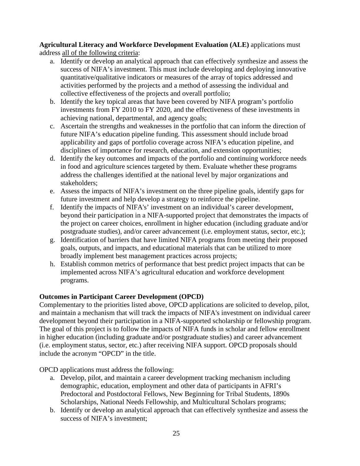**Agricultural Literacy and Workforce Development Evaluation (ALE)** applications must address all of the following criteria:

- a. Identify or develop an analytical approach that can effectively synthesize and assess the success of NIFA's investment. This must include developing and deploying innovative quantitative/qualitative indicators or measures of the array of topics addressed and activities performed by the projects and a method of assessing the individual and collective effectiveness of the projects and overall portfolio;
- b. Identify the key topical areas that have been covered by NIFA program's portfolio investments from FY 2010 to FY 2020, and the effectiveness of these investments in achieving national, departmental, and agency goals;
- c. Ascertain the strengths and weaknesses in the portfolio that can inform the direction of future NIFA's education pipeline funding. This assessment should include broad applicability and gaps of portfolio coverage across NIFA's education pipeline, and disciplines of importance for research, education, and extension opportunities;
- d. Identify the key outcomes and impacts of the portfolio and continuing workforce needs in food and agriculture sciences targeted by them. Evaluate whether these programs address the challenges identified at the national level by major organizations and stakeholders;
- e. Assess the impacts of NIFA's investment on the three pipeline goals, identify gaps for future investment and help develop a strategy to reinforce the pipeline.
- f. Identify the impacts of NIFA's' investment on an individual's career development, beyond their participation in a NIFA-supported project that demonstrates the impacts of the project on career choices, enrollment in higher education (including graduate and/or postgraduate studies), and/or career advancement (i.e. employment status, sector, etc.);
- g. Identification of barriers that have limited NIFA programs from meeting their proposed goals, outputs, and impacts, and educational materials that can be utilized to more broadly implement best management practices across projects;
- h. Establish common metrics of performance that best predict project impacts that can be implemented across NIFA's agricultural education and workforce development programs.

## **Outcomes in Participant Career Development (OPCD)**

Complementary to the priorities listed above, OPCD applications are solicited to develop, pilot, and maintain a mechanism that will track the impacts of NIFA's investment on individual career development beyond their participation in a NIFA-supported scholarship or fellowship program. The goal of this project is to follow the impacts of NIFA funds in scholar and fellow enrollment in higher education (including graduate and/or postgraduate studies) and career advancement (i.e. employment status, sector, etc.) after receiving NIFA support. OPCD proposals should include the acronym "OPCD" in the title.

OPCD applications must address the following:

- a. Develop, pilot, and maintain a career development tracking mechanism including demographic, education, employment and other data of participants in AFRI's Predoctoral and Postdoctoral Fellows, New Beginning for Tribal Students, 1890s Scholarships, National Needs Fellowship, and Multicultural Scholars programs;
- b. Identify or develop an analytical approach that can effectively synthesize and assess the success of NIFA's investment;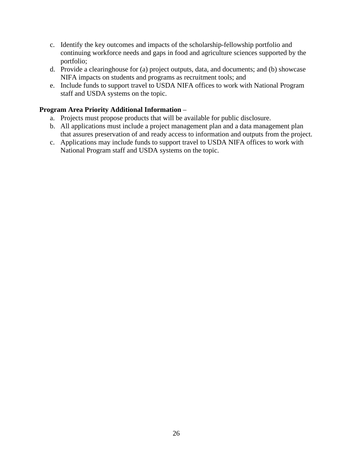- c. Identify the key outcomes and impacts of the scholarship-fellowship portfolio and continuing workforce needs and gaps in food and agriculture sciences supported by the portfolio;
- d. Provide a clearinghouse for (a) project outputs, data, and documents; and (b) showcase NIFA impacts on students and programs as recruitment tools; and
- e. Include funds to support travel to USDA NIFA offices to work with National Program staff and USDA systems on the topic.

#### **Program Area Priority Additional Information** –

- a. Projects must propose products that will be available for public disclosure.
- b. All applications must include a project management plan and a data management plan that assures preservation of and ready access to information and outputs from the project.
- c. Applications may include funds to support travel to USDA NIFA offices to work with National Program staff and USDA systems on the topic.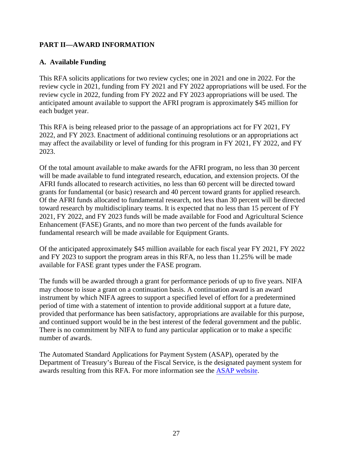## **PART II—AWARD INFORMATION**

## <span id="page-26-0"></span>**A. Available Funding**

This RFA solicits applications for two review cycles; one in 2021 and one in 2022. For the review cycle in 2021, funding from FY 2021 and FY 2022 appropriations will be used. For the review cycle in 2022, funding from FY 2022 and FY 2023 appropriations will be used. The anticipated amount available to support the AFRI program is approximately \$45 million for each budget year.

This RFA is being released prior to the passage of an appropriations act for FY 2021, FY 2022, and FY 2023. Enactment of additional continuing resolutions or an appropriations act may affect the availability or level of funding for this program in FY 2021, FY 2022, and FY 2023.

Of the total amount available to make awards for the AFRI program, no less than 30 percent will be made available to fund integrated research, education, and extension projects. Of the AFRI funds allocated to research activities, no less than 60 percent will be directed toward grants for fundamental (or basic) research and 40 percent toward grants for applied research. Of the AFRI funds allocated to fundamental research, not less than 30 percent will be directed toward research by multidisciplinary teams. It is expected that no less than 15 percent of FY 2021, FY 2022, and FY 2023 funds will be made available for Food and Agricultural Science Enhancement (FASE) Grants, and no more than two percent of the funds available for fundamental research will be made available for Equipment Grants.

Of the anticipated approximately \$45 million available for each fiscal year FY 2021, FY 2022 and FY 2023 to support the program areas in this RFA, no less than 11.25% will be made available for FASE grant types under the FASE program.

The funds will be awarded through a grant for performance periods of up to five years. NIFA may choose to issue a grant on a continuation basis. A continuation award is an award instrument by which NIFA agrees to support a specified level of effort for a predetermined period of time with a statement of intention to provide additional support at a future date, provided that performance has been satisfactory, appropriations are available for this purpose, and continued support would be in the best interest of the federal government and the public. There is no commitment by NIFA to fund any particular application or to make a specific number of awards.

<span id="page-26-1"></span>The Automated Standard Applications for Payment System (ASAP), operated by the Department of Treasury's Bureau of the Fiscal Service, is the designated payment system for awards resulting from this RFA. For more information see the [ASAP website.](https://www.fiscal.treasury.gov/fsservices/gov/pmt/asap/asap_home.htm)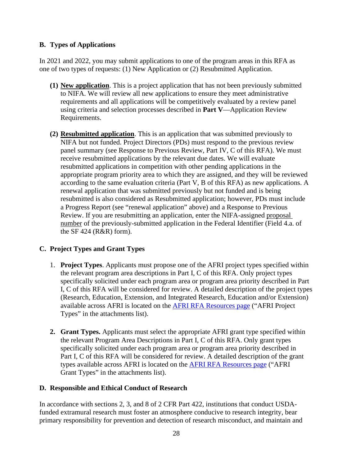## **B. Types of Applications**

In 2021 and 2022, you may submit applications to one of the program areas in this RFA as one of two types of requests: (1) New Application or (2) Resubmitted Application.

- **(1) New application**. This is a project application that has not been previously submitted to NIFA. We will review all new applications to ensure they meet administrative requirements and all applications will be competitively evaluated by a review panel using criteria and selection processes described in **Part V**—Application Review Requirements.
- **(2) Resubmitted application**. This is an application that was submitted previously to NIFA but not funded. Project Directors (PDs) must respond to the previous review panel summary (see Response to Previous Review, Part IV, C of this RFA). We must receive resubmitted applications by the relevant due dates. We will evaluate resubmitted applications in competition with other pending applications in the appropriate program priority area to which they are assigned, and they will be reviewed according to the same evaluation criteria (Part V, B of this RFA) as new applications. A renewal application that was submitted previously but not funded and is being resubmitted is also considered as Resubmitted application; however, PDs must include a Progress Report (see "renewal application" above) and a Response to Previous Review. If you are resubmitting an application, enter the NIFA-assigned proposal number of the previously-submitted application in the Federal Identifier (Field 4.a. of the SF 424 ( $R&R$ ) form).

## <span id="page-27-0"></span>**C. Project Types and Grant Types**

- 1. **Project Types**. Applicants must propose one of the AFRI project types specified within the relevant program area descriptions in Part I, C of this RFA. Only project types specifically solicited under each program area or program area priority described in Part I, C of this RFA will be considered for review. A detailed description of the project types (Research, Education, Extension, and Integrated Research, Education and/or Extension) available across AFRI is located on the [AFRI RFA Resources](https://nifa.usda.gov/resource/afri-request-applications-resources) page ("AFRI Project Types" in the attachments list).
- **2. Grant Types.** Applicants must select the appropriate AFRI grant type specified within the relevant Program Area Descriptions in Part I, C of this RFA. Only grant types specifically solicited under each program area or program area priority described in Part I, C of this RFA will be considered for review. A detailed description of the grant types available across AFRI is located on the [AFRI RFA Resources page](https://nifa.usda.gov/resource/afri-request-applications-resources) ("AFRI Grant Types" in the attachments list).

## <span id="page-27-1"></span>**D. Responsible and Ethical Conduct of Research**

In accordance with sections 2, 3, and 8 of 2 CFR Part 422, institutions that conduct USDAfunded extramural research must foster an atmosphere conducive to research integrity, bear primary responsibility for prevention and detection of research misconduct, and maintain and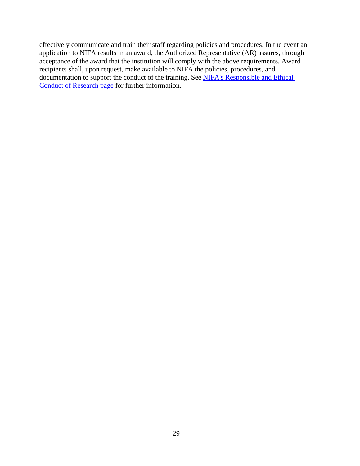effectively communicate and train their staff regarding policies and procedures. In the event an application to NIFA results in an award, the Authorized Representative (AR) assures, through acceptance of the award that the institution will comply with the above requirements. Award recipients shall, upon request, make available to NIFA the policies, procedures, and documentation to support the conduct of the training. See [NIFA's Responsible and Ethical](https://nifa.usda.gov/responsible-and-ethical-conduct-research)  [Conduct of Research page](https://nifa.usda.gov/responsible-and-ethical-conduct-research) for further information.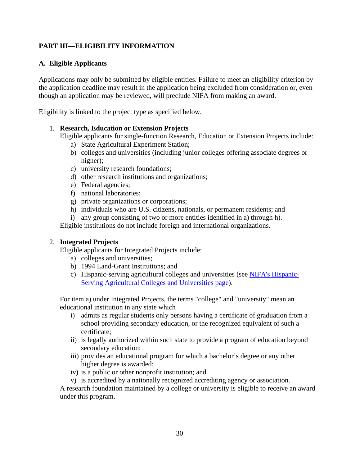## <span id="page-29-0"></span>**PART III—ELIGIBILITY INFORMATION**

## <span id="page-29-1"></span>**A. Eligible Applicants**

Applications may only be submitted by eligible entities. Failure to meet an eligibility criterion by the application deadline may result in the application being excluded from consideration or, even though an application may be reviewed, will preclude NIFA from making an award.

Eligibility is linked to the project type as specified below.

#### 1. **Research, Education or Extension Projects**

Eligible applicants for single-function Research, Education or Extension Projects include:

- a) State Agricultural Experiment Station;
- b) colleges and universities (including junior colleges offering associate degrees or higher);
- c) university research foundations;
- d) other research institutions and organizations;
- e) Federal agencies;
- f) national laboratories;
- g) private organizations or corporations;
- h) individuals who are U.S. citizens, nationals, or permanent residents; and
- i) any group consisting of two or more entities identified in a) through h).

Eligible institutions do not include foreign and international organizations.

## 2. **Integrated Projects**

Eligible applicants for Integrated Projects include:

- a) colleges and universities;
- b) 1994 Land-Grant Institutions; and
- c) Hispanic-serving agricultural colleges and universities (see [NIFA's Hispanic-](https://nifa.usda.gov/hispanic-serving-agricultural-colleges-and-universities-hsacu)[Serving Agricultural Colleges and Universities page\)](https://nifa.usda.gov/hispanic-serving-agricultural-colleges-and-universities-hsacu).

For item a) under Integrated Projects, the terms "college" and "university" mean an educational institution in any state which

- i) admits as regular students only persons having a certificate of graduation from a school providing secondary education, or the recognized equivalent of such a certificate;
- ii) is legally authorized within such state to provide a program of education beyond secondary education;
- iii) provides an educational program for which a bachelor's degree or any other higher degree is awarded;
- iv) is a public or other nonprofit institution; and
- v) is accredited by a nationally recognized accrediting agency or association.

A research foundation maintained by a college or university is eligible to receive an award under this program.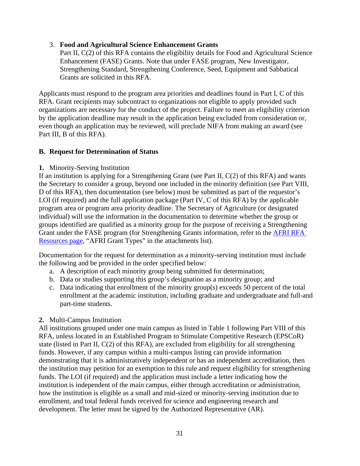#### 3. **Food and Agricultural Science Enhancement Grants**

Part II, C(2) of this RFA contains the eligibility details for Food and Agricultural Science Enhancement (FASE) Grants. Note that under FASE program, New Investigator, Strengthening Standard, Strengthening Conference, Seed, Equipment and Sabbatical Grants are solicited in this RFA.

Applicants must respond to the program area priorities and deadlines found in Part I, C of this RFA. Grant recipients may subcontract to organizations not eligible to apply provided such organizations are necessary for the conduct of the project. Failure to meet an eligibility criterion by the application deadline may result in the application being excluded from consideration or, even though an application may be reviewed, will preclude NIFA from making an award (see Part III, B of this RFA).

#### <span id="page-30-0"></span>**B. Request for Determination of Status**

**1.** Minority-Serving Institution

If an institution is applying for a Strengthening Grant (see Part II, C(2) of this RFA) and wants the Secretary to consider a group, beyond one included in the minority definition (see Part VIII, D of this RFA), then documentation (see below) must be submitted as part of the requestor's LOI (if required) and the full application package (Part IV, C of this RFA) by the applicable program area or program area priority deadline. The Secretary of Agriculture (or designated individual) will use the information in the documentation to determine whether the group or groups identified are qualified as a minority group for the purpose of receiving a Strengthening Grant under the FASE program (for Strengthening Grants information, refer to the [AFRI RFA](https://nifa.usda.gov/resource/afri-request-applications-resources)  [Resources page,](https://nifa.usda.gov/resource/afri-request-applications-resources) "AFRI Grant Types" in the attachments list).

Documentation for the request for determination as a minority-serving institution must include the following and be provided in the order specified below:

- a. A description of each minority group being submitted for determination;
- b. Data or studies supporting this group's designation as a minority group; and
- c. Data indicating that enrollment of the minority group(s) exceeds 50 percent of the total enrollment at the academic institution, including graduate and undergraduate and full-and part-time students.

#### **2.** Multi-Campus Institution

All institutions grouped under one main campus as listed in Table 1 following Part VIII of this RFA, unless located in an Established Program to Stimulate Competitive Research (EPSCoR) state (listed in Part II, C(2) of this RFA), are excluded from eligibility for all strengthening funds. However, if any campus within a multi-campus listing can provide information demonstrating that it is administratively independent or has an independent accreditation, then the institution may petition for an exemption to this rule and request eligibility for strengthening funds. The LOI (if required) and the application must include a letter indicating how the institution is independent of the main campus, either through accreditation or administration, how the institution is eligible as a small and mid-sized or minority-serving institution due to enrollment, and total federal funds received for science and engineering research and development. The letter must be signed by the Authorized Representative (AR).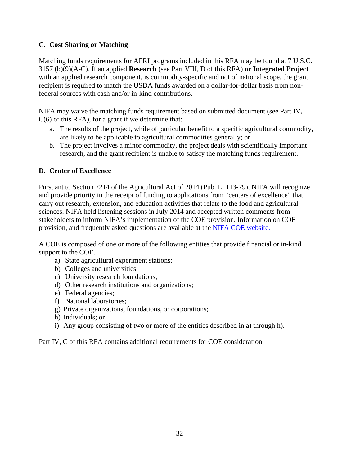## <span id="page-31-0"></span>**C. Cost Sharing or Matching**

Matching funds requirements for AFRI programs included in this RFA may be found at 7 U.S.C. 3157 (b)(9)(A-C). If an applied **Research** (see Part VIII, D of this RFA) **or Integrated Project**  with an applied research component, is commodity-specific and not of national scope, the grant recipient is required to match the USDA funds awarded on a dollar-for-dollar basis from nonfederal sources with cash and/or in-kind contributions.

NIFA may waive the matching funds requirement based on submitted document (see Part IV, C(6) of this RFA), for a grant if we determine that:

- a. The results of the project, while of particular benefit to a specific agricultural commodity, are likely to be applicable to agricultural commodities generally; or
- b. The project involves a minor commodity, the project deals with scientifically important research, and the grant recipient is unable to satisfy the matching funds requirement.

## <span id="page-31-1"></span>**D. Center of Excellence**

Pursuant to Section 7214 of the Agricultural Act of 2014 (Pub. L. 113-79), NIFA will recognize and provide priority in the receipt of funding to applications from "centers of excellence" that carry out research, extension, and education activities that relate to the food and agricultural sciences. NIFA held listening sessions in July 2014 and accepted written comments from stakeholders to inform NIFA's implementation of the COE provision. Information on COE provision, and frequently asked questions are available at the [NIFA COE website.](https://nifa.usda.gov/centers-excellence)

A COE is composed of one or more of the following entities that provide financial or in-kind support to the COE.

- a) State agricultural experiment stations;
- b) Colleges and universities;
- c) University research foundations;
- d) Other research institutions and organizations;
- e) Federal agencies;
- f) National laboratories;
- g) Private organizations, foundations, or corporations;
- h) Individuals; or
- i) Any group consisting of two or more of the entities described in a) through h).

Part IV, C of this RFA contains additional requirements for COE consideration.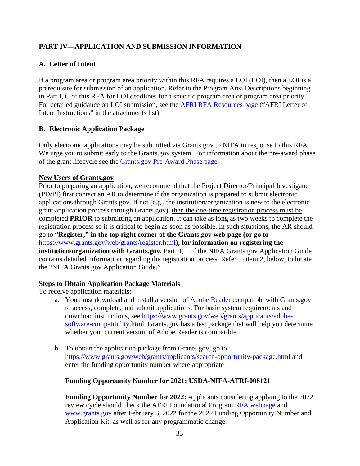## <span id="page-32-0"></span>**PART IV—APPLICATION AND SUBMISSION INFORMATION**

## <span id="page-32-1"></span>**A. Letter of Intent**

If a program area or program area priority within this RFA requires a LOI (LOI), then a LOI is a prerequisite for submission of an application. Refer to the Program Area Descriptions beginning in Part I, C of this RFA for LOI deadlines for a specific program area or program area priority. For detailed guidance on LOI submission, see [the AFRI RFA Resources page](https://nifa.usda.gov/sites/default/files/resource/AFRI-Letter-of-Intent-Instructions.pdf) ("AFRI Letter of [Intent Instructions" in the attachments list\).](https://nifa.usda.gov/sites/default/files/resource/AFRI-Letter-of-Intent-Instructions.pdf)

## <span id="page-32-2"></span>**B. Electronic Application Package**

Only electronic applications may be submitted via Grants.gov to NIFA in response to this RFA. We urge you to submit early to the Grants.gov system. For information about the pre-award phase of the grant lifecycle see the [Grants.gov Pre-Award Phase page.](https://www.grants.gov/web/grants/learn-grants/grants-101/pre-award-phase.html)

## **New Users of Grants.gov**

Prior to preparing an application, we recommend that the Project Director/Principal Investigator (PD/PI) first contact an AR to determine if the organization is prepared to submit electronic applications through Grants.gov. If not (e.g., the institution/organization is new to the electronic grant application process through Grants.gov), then the one-time registration process must be completed **PRIOR** to submitting an application. It can take as long as two weeks to complete the registration process so it is critical to begin as soon as possible. In such situations, the AR should go to **"Register," in the top right corner of the Grants.gov web page (or go to**  <https://www.grants.gov/web/grants/register.html>**), for information on registering the institution/organization with Grants.gov.** Part II, 1 of the NIFA Grants.gov Application Guide contains detailed information regarding the registration process. Refer to item 2, below, to locate the "NIFA Grants.gov Application Guide."

## **Steps to Obtain Application Package Materials**

To receive application materials:

- a. You must download and install a version of [Adobe Reader](https://get.adobe.com/reader/) compatible with Grants.gov to access, complete, and submit applications. For basic system requirements and download instructions, see [https://www.grants.gov/web/grants/applicants/adobe](https://www.grants.gov/web/grants/applicants/adobe-software-compatibility.html)[software-compatibility.html.](https://www.grants.gov/web/grants/applicants/adobe-software-compatibility.html) Grants.gov has a test package that will help you determine whether your current version of Adobe Reader is compatible.
- b. To obtain the application package from Grants.gov, go to <https://www.grants.gov/web/grants/applicants/search-opportunity-package.html> and enter the funding opportunity number where appropriate

## **Funding Opportunity Number for 2021: USDA-NIFA-AFRI-008121**

**Funding Opportunity Number for 2022:** Applicants considering applying to the 2022 review cycle should check the AFRI Foundational Program [RFA webpage](https://www.nifa.usda.gov/funding-opportunity/methyl-bromide-transition) and [www.grants.gov](http://www.grants.gov/) after February 3, 2022 for the 2022 Funding Opportunity Number and Application Kit, as well as for any programmatic change.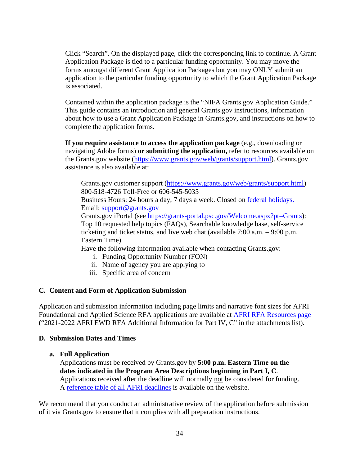Click "Search". On the displayed page, click the corresponding link to continue. A Grant Application Package is tied to a particular funding opportunity. You may move the forms amongst different Grant Application Packages but you may ONLY submit an application to the particular funding opportunity to which the Grant Application Package is associated.

Contained within the application package is the "NIFA Grants.gov Application Guide." This guide contains an introduction and general Grants.gov instructions, information about how to use a Grant Application Package in Grants.gov, and instructions on how to complete the application forms.

**If you require assistance to access the application package** (e.g., downloading or navigating Adobe forms) **or submitting the application,** refer to resources available on the Grants.gov website [\(https://www.grants.gov/web/grants/support.html\)](https://www.grants.gov/web/grants/support.html). Grants.gov assistance is also available at:

Grants.gov customer support [\(https://www.grants.gov/web/grants/support.html\)](https://www.grants.gov/web/grants/support.html) 800-518-4726 Toll-Free or 606-545-5035

Business Hours: 24 hours a day, 7 days a week. Closed on [federal holidays.](https://www.opm.gov/policy-data-oversight/snow-dismissal-procedures/federal-holidays/) Email: [support@grants.gov](mailto:support@grants.gov)

Grants.gov iPortal (see [https://grants-portal.psc.gov/Welcome.aspx?pt=Grants\)](https://grants-portal.psc.gov/Welcome.aspx?pt=Grants): Top 10 requested help topics (FAQs), Searchable knowledge base, self-service ticketing and ticket status, and live web chat (available 7:00 a.m. – 9:00 p.m. Eastern Time).

Have the following information available when contacting Grants.gov:

- i. Funding Opportunity Number (FON)
- ii. Name of agency you are applying to
- iii. Specific area of concern

#### <span id="page-33-0"></span>**C. Content and Form of Application Submission**

Application and submission information including page limits and narrative font sizes for AFRI Foundational and Applied Science RFA applications are available at [AFRI RFA Resources page](https://nifa.usda.gov/resource/afri-request-applications-resources) ("2021-2022 AFRI EWD RFA Additional Information for Part IV, C" in the attachments list).

#### <span id="page-33-1"></span>**D. Submission Dates and Times**

#### **a. Full Application**

Applications must be received by Grants.gov by **5:00 p.m. Eastern Time on the dates indicated in the Program Area Descriptions beginning in Part I, C**. Applications received after the deadline will normally not be considered for funding. A [reference table of all AFRI deadlines](https://nifa.usda.gov/afri-deadlines) is available on the website.

We recommend that you conduct an administrative review of the application before submission of it via Grants.gov to ensure that it complies with all preparation instructions.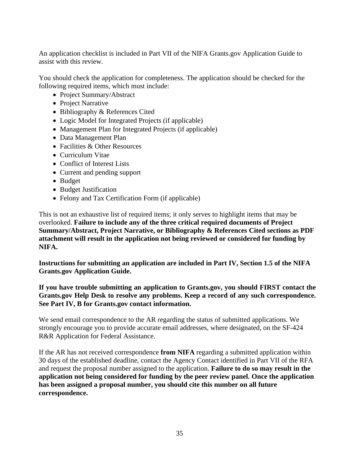An application checklist is included in Part VII of the NIFA Grants.gov Application Guide to assist with this review.

You should check the application for completeness. The application should be checked for the following required items, which must include:

- Project Summary/Abstract
- Project Narrative
- Bibliography & References Cited
- Logic Model for Integrated Projects (if applicable)
- Management Plan for Integrated Projects (if applicable)
- Data Management Plan
- Facilities & Other Resources
- Curriculum Vitae
- Conflict of Interest Lists
- Current and pending support
- Budget
- Budget Justification
- Felony and Tax Certification Form (if applicable)

This is not an exhaustive list of required items; it only serves to highlight items that may be overlooked. **Failure to include any of the three critical required documents of Project Summary/Abstract, Project Narrative, or Bibliography & References Cited sections as PDF attachment will result in the application not being reviewed or considered for funding by NIFA.**

**Instructions for submitting an application are included in Part IV, Section 1.5 of the NIFA Grants.gov Application Guide.**

**If you have trouble submitting an application to Grants.gov, you should FIRST contact the Grants.gov Help Desk to resolve any problems. Keep a record of any such correspondence. See Part IV, B for Grants.gov contact information.**

We send email correspondence to the AR regarding the status of submitted applications. We strongly encourage you to provide accurate email addresses, where designated, on the SF-424 R&R Application for Federal Assistance.

<span id="page-34-0"></span>If the AR has not received correspondence **from NIFA** regarding a submitted application within 30 days of the established deadline, contact the Agency Contact identified in Part VII of the RFA and request the proposal number assigned to the application. **Failure to do so may result in the application not being considered for funding by the peer review panel. Once the application has been assigned a proposal number, you should cite this number on all future correspondence.**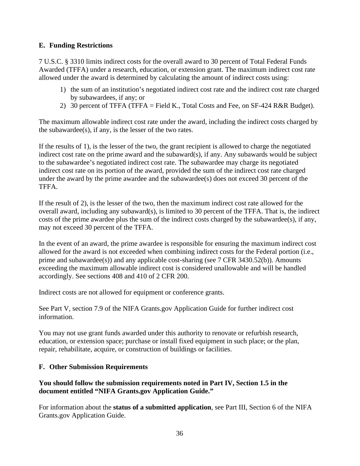## **E. Funding Restrictions**

7 U.S.C. § 3310 limits indirect costs for the overall award to 30 percent of Total Federal Funds Awarded (TFFA) under a research, education, or extension grant. The maximum indirect cost rate allowed under the award is determined by calculating the amount of indirect costs using:

- 1) the sum of an institution's negotiated indirect cost rate and the indirect cost rate charged by subawardees, if any; or
- 2) 30 percent of TFFA (TFFA = Field K., Total Costs and Fee, on SF-424 R&R Budget).

The maximum allowable indirect cost rate under the award, including the indirect costs charged by the subawardee(s), if any, is the lesser of the two rates.

If the results of 1), is the lesser of the two, the grant recipient is allowed to charge the negotiated indirect cost rate on the prime award and the subaward(s), if any. Any subawards would be subject to the subawardee's negotiated indirect cost rate. The subawardee may charge its negotiated indirect cost rate on its portion of the award, provided the sum of the indirect cost rate charged under the award by the prime awardee and the subawardee(s) does not exceed 30 percent of the TFFA.

If the result of 2), is the lesser of the two, then the maximum indirect cost rate allowed for the overall award, including any subaward(s), is limited to 30 percent of the TFFA. That is, the indirect costs of the prime awardee plus the sum of the indirect costs charged by the subawardee(s), if any, may not exceed 30 percent of the TFFA.

In the event of an award, the prime awardee is responsible for ensuring the maximum indirect cost allowed for the award is not exceeded when combining indirect costs for the Federal portion (i.e., prime and subawardee(s)) and any applicable cost-sharing (see 7 CFR 3430.52(b)). Amounts exceeding the maximum allowable indirect cost is considered unallowable and will be handled accordingly. See sections 408 and 410 of 2 CFR 200.

Indirect costs are not allowed for equipment or conference grants.

See Part V, section 7.9 of the NIFA Grants.gov Application Guide for further indirect cost information.

You may not use grant funds awarded under this authority to renovate or refurbish research, education, or extension space; purchase or install fixed equipment in such place; or the plan, repair, rehabilitate, acquire, or construction of buildings or facilities.

## <span id="page-35-0"></span>**F. Other Submission Requirements**

## **You should follow the submission requirements noted in Part IV, Section 1.5 in the document entitled "NIFA Grants.gov Application Guide."**

For information about the **status of a submitted application**, see Part III, Section 6 of the NIFA Grants.gov Application Guide.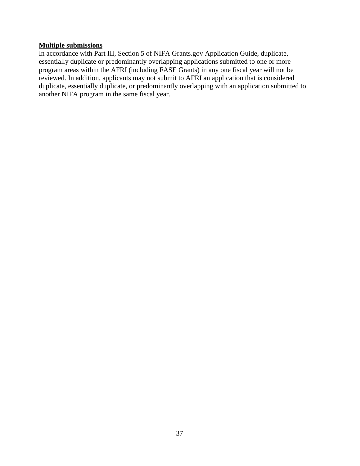#### **Multiple submissions**

In accordance with Part III, Section 5 of NIFA Grants.gov Application Guide, duplicate, essentially duplicate or predominantly overlapping applications submitted to one or more program areas within the AFRI (including FASE Grants) in any one fiscal year will not be reviewed. In addition, applicants may not submit to AFRI an application that is considered duplicate, essentially duplicate, or predominantly overlapping with an application submitted to another NIFA program in the same fiscal year.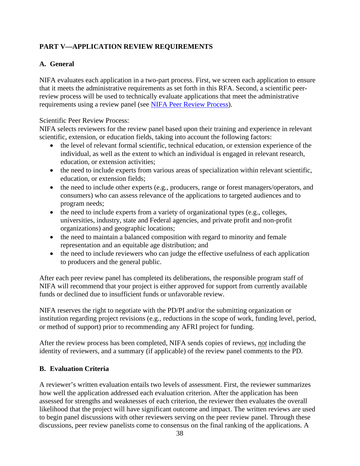## <span id="page-37-0"></span>**PART V—APPLICATION REVIEW REQUIREMENTS**

## <span id="page-37-1"></span>**A. General**

NIFA evaluates each application in a two-part process. First, we screen each application to ensure that it meets the administrative requirements as set forth in this RFA. Second, a scientific peerreview process will be used to technically evaluate applications that meet the administrative requirements using a review panel (see [NIFA Peer Review Process\)](https://nifa.usda.gov/resource/nifa-peer-review-process-competitive-grant-applications).

#### Scientific Peer Review Process:

NIFA selects reviewers for the review panel based upon their training and experience in relevant scientific, extension, or education fields, taking into account the following factors:

- the level of relevant formal scientific, technical education, or extension experience of the individual, as well as the extent to which an individual is engaged in relevant research, education, or extension activities;
- the need to include experts from various areas of specialization within relevant scientific, education, or extension fields;
- the need to include other experts (e.g., producers, range or forest managers/operators, and consumers) who can assess relevance of the applications to targeted audiences and to program needs;
- the need to include experts from a variety of organizational types (e.g., colleges, universities, industry, state and Federal agencies, and private profit and non-profit organizations) and geographic locations;
- the need to maintain a balanced composition with regard to minority and female representation and an equitable age distribution; and
- the need to include reviewers who can judge the effective usefulness of each application to producers and the general public.

After each peer review panel has completed its deliberations, the responsible program staff of NIFA will recommend that your project is either approved for support from currently available funds or declined due to insufficient funds or unfavorable review.

NIFA reserves the right to negotiate with the PD/PI and/or the submitting organization or institution regarding project revisions (e.g., reductions in the scope of work, funding level, period, or method of support) prior to recommending any AFRI project for funding.

After the review process has been completed, NIFA sends copies of reviews, *not* including the identity of reviewers, and a summary (if applicable) of the review panel comments to the PD.

## <span id="page-37-2"></span>**B. Evaluation Criteria**

A reviewer's written evaluation entails two levels of assessment. First, the reviewer summarizes how well the application addressed each evaluation criterion. After the application has been assessed for strengths and weaknesses of each criterion, the reviewer then evaluates the overall likelihood that the project will have significant outcome and impact. The written reviews are used to begin panel discussions with other reviewers serving on the peer review panel. Through these discussions, peer review panelists come to consensus on the final ranking of the applications. A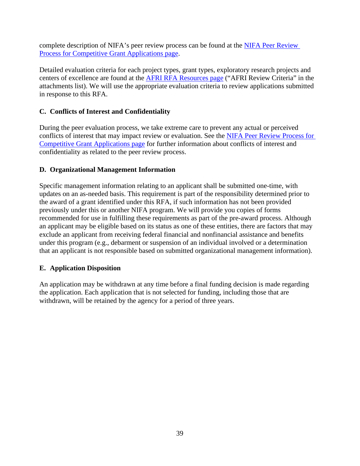complete description of NIFA's peer review process can be found at the [NIFA Peer Review](https://nifa.usda.gov/resource/nifa-peer-review-process-competitive-grant-applications)  [Process for Competitive Grant Applications page.](https://nifa.usda.gov/resource/nifa-peer-review-process-competitive-grant-applications)

Detailed evaluation criteria for each project types, grant types, exploratory research projects and centers of excellence are found at the [AFRI RFA Resources page](https://nifa.usda.gov/resource/afri-request-applications-resources) ("AFRI Review Criteria" in the attachments list). We will use the appropriate evaluation criteria to review applications submitted in response to this RFA.

## <span id="page-38-0"></span>**C. Conflicts of Interest and Confidentiality**

During the peer evaluation process, we take extreme care to prevent any actual or perceived conflicts of interest that may impact review or evaluation. See the NIFA Peer Review Process for [Competitive Grant Applications](https://nifa.usda.gov/resource/nifa-peer-review-process-competitive-grant-applications) page for further information about conflicts of interest and confidentiality as related to the peer review process.

## <span id="page-38-1"></span>**D. Organizational Management Information**

Specific management information relating to an applicant shall be submitted one-time, with updates on an as-needed basis. This requirement is part of the responsibility determined prior to the award of a grant identified under this RFA, if such information has not been provided previously under this or another NIFA program. We will provide you copies of forms recommended for use in fulfilling these requirements as part of the pre-award process. Although an applicant may be eligible based on its status as one of these entities, there are factors that may exclude an applicant from receiving federal financial and nonfinancial assistance and benefits under this program (e.g., debarment or suspension of an individual involved or a determination that an applicant is not responsible based on submitted organizational management information).

## <span id="page-38-2"></span>**E. Application Disposition**

An application may be withdrawn at any time before a final funding decision is made regarding the application. Each application that is not selected for funding, including those that are withdrawn, will be retained by the agency for a period of three years.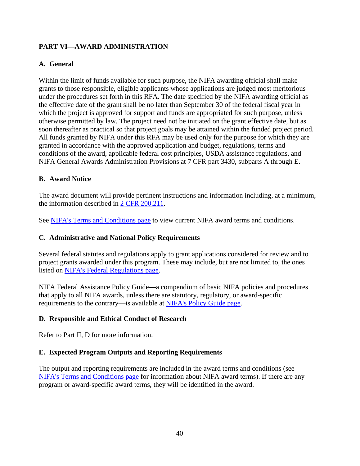## <span id="page-39-0"></span>**PART VI—AWARD ADMINISTRATION**

## <span id="page-39-1"></span>**A. General**

Within the limit of funds available for such purpose, the NIFA awarding official shall make grants to those responsible, eligible applicants whose applications are judged most meritorious under the procedures set forth in this RFA. The date specified by the NIFA awarding official as the effective date of the grant shall be no later than September 30 of the federal fiscal year in which the project is approved for support and funds are appropriated for such purpose, unless otherwise permitted by law. The project need not be initiated on the grant effective date, but as soon thereafter as practical so that project goals may be attained within the funded project period. All funds granted by NIFA under this RFA may be used only for the purpose for which they are granted in accordance with the approved application and budget, regulations, terms and conditions of the award, applicable federal cost principles, USDA assistance regulations, and NIFA General Awards Administration Provisions at 7 CFR part 3430, subparts A through E.

## <span id="page-39-2"></span>**B. Award Notice**

The award document will provide pertinent instructions and information including, at a minimum, the information described in [2 CFR 200.211.](https://www.ecfr.gov/cgi-bin/text-idx?SID=c7d44e439e719599dd97185f73150a4a&mc=true&node=se2.1.200_1211&rgn=div8)

See [NIFA's Terms and Conditions page](https://nifa.usda.gov/terms-and-conditions) to view current NIFA award terms and conditions.

## <span id="page-39-3"></span>**C. Administrative and National Policy Requirements**

Several federal statutes and regulations apply to grant applications considered for review and to project grants awarded under this program. These may include, but are not limited to, the ones listed on [NIFA's Federal Regulations page.](https://nifa.usda.gov/federal-regulations)

NIFA Federal Assistance Policy Guide**—**a compendium of basic NIFA policies and procedures that apply to all NIFA awards, unless there are statutory, regulatory, or award-specific requirements to the contrary—is available at [NIFA's Policy Guide page.](https://nifa.usda.gov/policy-guide)

## <span id="page-39-4"></span>**D. Responsible and Ethical Conduct of Research**

Refer to Part II, D for more information.

## <span id="page-39-5"></span>**E. Expected Program Outputs and Reporting Requirements**

The output and reporting requirements are included in the award terms and conditions (see [NIFA's Terms and Conditions page](https://nifa.usda.gov/terms-and-conditions) for information about NIFA award terms). If there are any program or award-specific award terms, they will be identified in the award.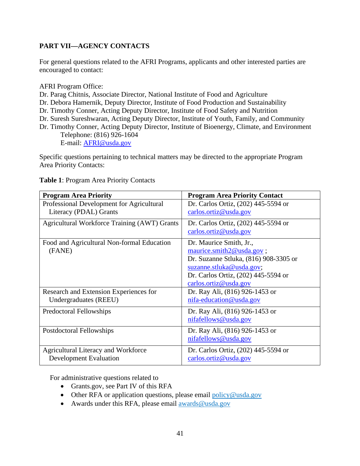## <span id="page-40-0"></span>**PART VII—AGENCY CONTACTS**

For general questions related to the AFRI Programs, applicants and other interested parties are encouraged to contact:

AFRI Program Office:

Dr. Parag Chitnis, Associate Director, National Institute of Food and Agriculture

Dr. Debora Hamernik, Deputy Director, Institute of Food Production and Sustainability

Dr. Timothy Conner, Acting Deputy Director, Institute of Food Safety and Nutrition

Dr. Suresh Sureshwaran, Acting Deputy Director, Institute of Youth, Family, and Community

Dr. Timothy Conner, Acting Deputy Director, Institute of Bioenergy, Climate, and Environment Telephone: (816) 926-1604 E-mail: [AFRI@usda.gov](mailto:AFRI@usda.gov)

Specific questions pertaining to technical matters may be directed to the appropriate Program Area Priority Contacts:

| <b>Program Area Priority</b>                        | <b>Program Area Priority Contact</b>  |
|-----------------------------------------------------|---------------------------------------|
| Professional Development for Agricultural           | Dr. Carlos Ortiz, (202) 445-5594 or   |
| Literacy (PDAL) Grants                              | carlos.ortiz@usda.gov                 |
| <b>Agricultural Workforce Training (AWT) Grants</b> | Dr. Carlos Ortiz, (202) 445-5594 or   |
|                                                     | carlos.ortiz@usda.gov                 |
| Food and Agricultural Non-formal Education          | Dr. Maurice Smith, Jr.,               |
| (FANE)                                              | maurice.smith2@usda.gov;              |
|                                                     | Dr. Suzanne Stluka, (816) 908-3305 or |
|                                                     | suzanne.stluka@usda.gov;              |
|                                                     | Dr. Carlos Ortiz, (202) 445-5594 or   |
|                                                     | carlos.ortiz@usda.gov                 |
| Research and Extension Experiences for              | Dr. Ray Ali, (816) 926-1453 or        |
| Undergraduates (REEU)                               | nifa-education@usda.gov               |
| Predoctoral Fellowships                             | Dr. Ray Ali, (816) 926-1453 or        |
|                                                     | nifafellows@usda.gov                  |
| Postdoctoral Fellowships                            | Dr. Ray Ali, (816) 926-1453 or        |
|                                                     | nifafellows@usda.gov                  |
| <b>Agricultural Literacy and Workforce</b>          | Dr. Carlos Ortiz, (202) 445-5594 or   |
| <b>Development Evaluation</b>                       | carlos.ortiz@usda.gov                 |

#### <span id="page-40-1"></span>**Table 1**: Program Area Priority Contacts

For administrative questions related to

- Grants.gov, see Part IV of this RFA
- Other RFA or application questions, please email [policy@usda.gov](mailto:policy@usda.gov)
- Awards under this RFA, please email [awards@usda.gov](mailto:awards@usda.gov)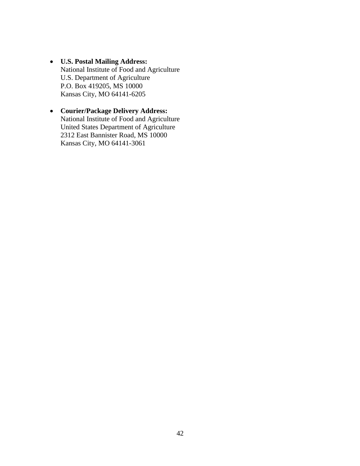- **U.S. Postal Mailing Address:** National Institute of Food and Agriculture U.S. Department of Agriculture P.O. Box 419205, MS 10000 Kansas City, MO 64141-6205
- **Courier/Package Delivery Address:** National Institute of Food and Agriculture United States Department of Agriculture 2312 East Bannister Road, MS 10000 Kansas City, MO 64141-3061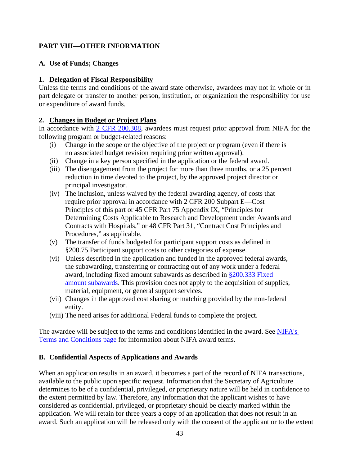## <span id="page-42-0"></span>**PART VIII—OTHER INFORMATION**

#### <span id="page-42-1"></span>**A. Use of Funds; Changes**

#### **1. Delegation of Fiscal Responsibility**

Unless the terms and conditions of the award state otherwise, awardees may not in whole or in part delegate or transfer to another person, institution, or organization the responsibility for use or expenditure of award funds.

#### **2. Changes in Budget or Project Plans**

In accordance with [2 CFR 200.308,](http://www.ecfr.gov/cgi-bin/text-idx?SID=3af89506559b05297e7d0334cb283e24&mc=true&node=se2.1.200_1308&rgn=div8) awardees must request prior approval from NIFA for the following program or budget-related reasons:

- (i) Change in the scope or the objective of the project or program (even if there is no associated budget revision requiring prior written approval).
- (ii) Change in a key person specified in the application or the federal award.
- (iii) The disengagement from the project for more than three months, or a 25 percent reduction in time devoted to the project, by the approved project director or principal investigator.
- (iv) The inclusion, unless waived by the federal awarding agency, of costs that require prior approval in accordance with 2 CFR 200 Subpart E—Cost Principles of this part or 45 CFR Part 75 Appendix IX, "Principles for Determining Costs Applicable to Research and Development under Awards and Contracts with Hospitals," or 48 CFR Part 31, "Contract Cost Principles and Procedures," as applicable.
- (v) The transfer of funds budgeted for participant support costs as defined in §200.75 Participant support costs to other categories of expense.
- (vi) Unless described in the application and funded in the approved federal awards, the subawarding, transferring or contracting out of any work under a federal award, including fixed amount subawards as described in [§200.333](https://www.ecfr.gov/cgi-bin/text-idx?SID=4efecba9c67f07259e684a4a3c936ffb&mc=true&node=se2.1.200_1333&rgn=div8) Fixed [amount subawards.](https://www.ecfr.gov/cgi-bin/text-idx?SID=4efecba9c67f07259e684a4a3c936ffb&mc=true&node=se2.1.200_1333&rgn=div8) This provision does not apply to the acquisition of supplies, material, equipment, or general support services.
- (vii) Changes in the approved cost sharing or matching provided by the non-federal entity.
- (viii) The need arises for additional Federal funds to complete the project.

The awardee will be subject to the terms and conditions identified in the award. See NIFA's [Terms and Conditions page](https://nifa.usda.gov/terms-and-conditions) for information about NIFA award terms.

## <span id="page-42-2"></span>**B. Confidential Aspects of Applications and Awards**

When an application results in an award, it becomes a part of the record of NIFA transactions, available to the public upon specific request. Information that the Secretary of Agriculture determines to be of a confidential, privileged, or proprietary nature will be held in confidence to the extent permitted by law. Therefore, any information that the applicant wishes to have considered as confidential, privileged, or proprietary should be clearly marked within the application. We will retain for three years a copy of an application that does not result in an award. Such an application will be released only with the consent of the applicant or to the extent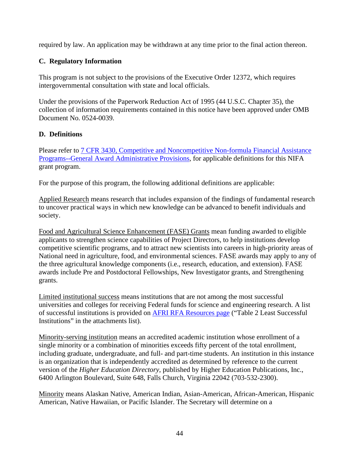required by law. An application may be withdrawn at any time prior to the final action thereon.

## <span id="page-43-0"></span>**C. Regulatory Information**

This program is not subject to the provisions of the Executive Order 12372, which requires intergovernmental consultation with state and local officials.

Under the provisions of the Paperwork Reduction Act of 1995 (44 U.S.C. Chapter 35), the collection of information requirements contained in this notice have been approved under OMB Document No. 0524-0039.

## <span id="page-43-1"></span>**D. Definitions**

Please refer to [7 CFR 3430, Competitive and Noncompetitive Non-formula Financial Assistance](http://www.ecfr.gov/cgi-bin/text-idx?c=ecfr&SID=2a6f6bfbef4c918616eebe5353d0793c&rgn=div5&view=text&node=7%3A15.1.12.2.13&idno=7&7%3A15.1.12.2.13.1.17.2) [Programs--General Award Administrative Provisions,](http://www.ecfr.gov/cgi-bin/text-idx?c=ecfr&SID=2a6f6bfbef4c918616eebe5353d0793c&rgn=div5&view=text&node=7%3A15.1.12.2.13&idno=7&7%3A15.1.12.2.13.1.17.2) for applicable definitions for this NIFA grant program.

For the purpose of this program, the following additional definitions are applicable:

Applied Research means research that includes expansion of the findings of fundamental research to uncover practical ways in which new knowledge can be advanced to benefit individuals and society.

Food and Agricultural Science Enhancement (FASE) Grants mean funding awarded to eligible applicants to strengthen science capabilities of Project Directors, to help institutions develop competitive scientific programs, and to attract new scientists into careers in high-priority areas of National need in agriculture, food, and environmental sciences. FASE awards may apply to any of the three agricultural knowledge components (i.e., research, education, and extension). FASE awards include Pre and Postdoctoral Fellowships, New Investigator grants, and Strengthening grants.

Limited institutional success means institutions that are not among the most successful universities and colleges for receiving Federal funds for science and engineering research. A list of successful institutions is provided on [AFRI RFA Resources page](https://nifa.usda.gov/resource/afri-request-applications-resources) ("Table 2 Least Successful Institutions" in the attachments list).

Minority-serving institution means an accredited academic institution whose enrollment of a single minority or a combination of minorities exceeds fifty percent of the total enrollment, including graduate, undergraduate, and full- and part-time students. An institution in this instance is an organization that is independently accredited as determined by reference to the current version of the *Higher Education Directory*, published by Higher Education Publications, Inc., 6400 Arlington Boulevard, Suite 648, Falls Church, Virginia 22042 (703-532-2300).

Minority means Alaskan Native, American Indian, Asian-American, African-American, Hispanic American, Native Hawaiian, or Pacific Islander. The Secretary will determine on a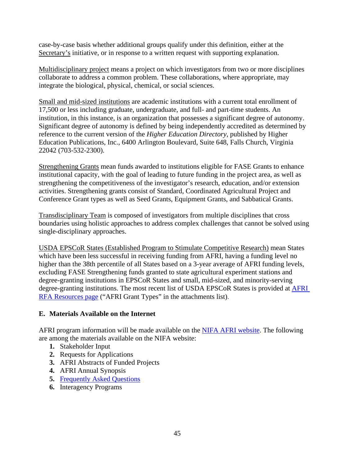case-by-case basis whether additional groups qualify under this definition, either at the Secretary's initiative, or in response to a written request with supporting explanation.

Multidisciplinary project means a project on which investigators from two or more disciplines collaborate to address a common problem. These collaborations, where appropriate, may integrate the biological, physical, chemical, or social sciences.

Small and mid-sized institutions are academic institutions with a current total enrollment of 17,500 or less including graduate, undergraduate, and full- and part-time students. An institution, in this instance, is an organization that possesses a significant degree of autonomy. Significant degree of autonomy is defined by being independently accredited as determined by reference to the current version of the *Higher Education Directory*, published by Higher Education Publications, Inc., 6400 Arlington Boulevard, Suite 648, Falls Church, Virginia 22042 (703-532-2300).

Strengthening Grants mean funds awarded to institutions eligible for FASE Grants to enhance institutional capacity, with the goal of leading to future funding in the project area, as well as strengthening the competitiveness of the investigator's research, education, and/or extension activities. Strengthening grants consist of Standard, Coordinated Agricultural Project and Conference Grant types as well as Seed Grants, Equipment Grants, and Sabbatical Grants.

Transdisciplinary Team is composed of investigators from multiple disciplines that cross boundaries using holistic approaches to address complex challenges that cannot be solved using single-disciplinary approaches.

USDA EPSCoR States (Established Program to Stimulate Competitive Research) mean States which have been less successful in receiving funding from AFRI, having a funding level no higher than the 38th percentile of all States based on a 3-year average of AFRI funding levels, excluding FASE Strengthening funds granted to state agricultural experiment stations and degree-granting institutions in EPSCoR States and small, mid-sized, and minority-serving degree-granting institutions. The most recent list of USDA EPSCoR States is provided at [AFRI](https://nifa.usda.gov/resource/afri-request-applications-resources)  [RFA Resources page](https://nifa.usda.gov/resource/afri-request-applications-resources) ("AFRI Grant Types" in the attachments list).

## <span id="page-44-0"></span>**E. Materials Available on the Internet**

AFRI program information will be made available on the [NIFA AFRI website.](https://nifa.usda.gov/program/agriculture-and-food-research-initiative-afri) The following are among the materials available on the NIFA website:

- **1.** Stakeholder Input
- **2.** Requests for Applications
- **3.** AFRI Abstracts of Funded Projects
- **4.** AFRI Annual Synopsis
- **5.** [Frequently Asked Questions](https://nifa.usda.gov/resource/afri-frequently-asked-questions-faq)
- **6.** Interagency Programs